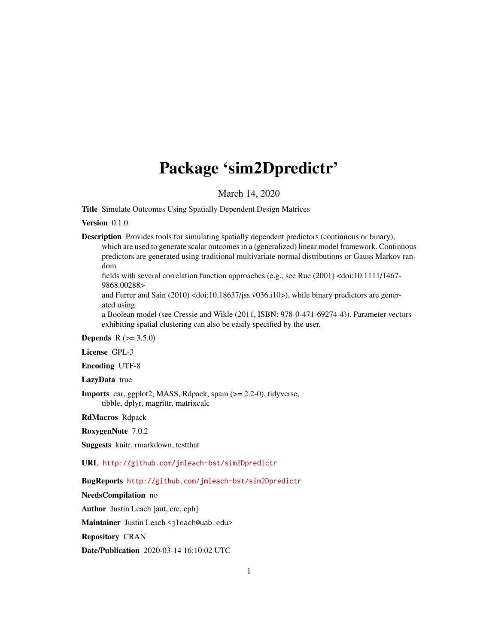# Package 'sim2Dpredictr'

March 14, 2020

Title Simulate Outcomes Using Spatially Dependent Design Matrices

# Version 0.1.0

Description Provides tools for simulating spatially dependent predictors (continuous or binary), which are used to generate scalar outcomes in a (generalized) linear model framework. Continuous predictors are generated using traditional multivariate normal distributions or Gauss Markov random

fields with several correlation function approaches (e.g., see Rue (2001) <doi:10.1111/1467- 9868.00288>

and Furrer and Sain (2010) <doi:10.18637/jss.v036.i10>), while binary predictors are generated using

a Boolean model (see Cressie and Wikle (2011, ISBN: 978-0-471-69274-4)). Parameter vectors exhibiting spatial clustering can also be easily specified by the user.

**Depends**  $R (= 3.5.0)$ 

License GPL-3

Encoding UTF-8

LazyData true

Imports car, ggplot2, MASS, Rdpack, spam (>= 2.2-0), tidyverse, tibble, dplyr, magrittr, matrixcalc

RdMacros Rdpack

RoxygenNote 7.0.2

Suggests knitr, rmarkdown, testthat

URL <http://github.com/jmleach-bst/sim2Dpredictr>

BugReports <http://github.com/jmleach-bst/sim2Dpredictr>

NeedsCompilation no

Author Justin Leach [aut, cre, cph]

Maintainer Justin Leach <jleach@uab.edu>

Repository CRAN

Date/Publication 2020-03-14 16:10:02 UTC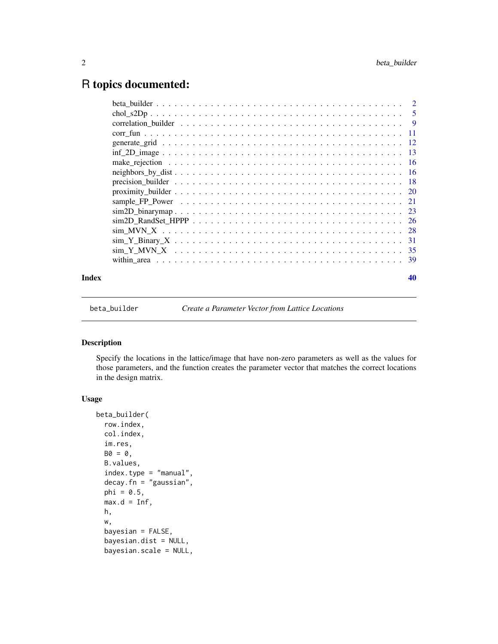# <span id="page-1-0"></span>R topics documented:

| Index |  |
|-------|--|

beta\_builder *Create a Parameter Vector from Lattice Locations*

# Description

Specify the locations in the lattice/image that have non-zero parameters as well as the values for those parameters, and the function creates the parameter vector that matches the correct locations in the design matrix.

# Usage

```
beta_builder(
  row.index,
  col.index,
  im.res,
 B0 = 0,
 B.values,
  index.type = "manual",
  decay.fn = "gaussian",
  phi = 0.5,
 max.d = Inf,h,
  w,
  bayesian = FALSE,
  bayesian.dist = NULL,
  bayesian.scale = NULL,
```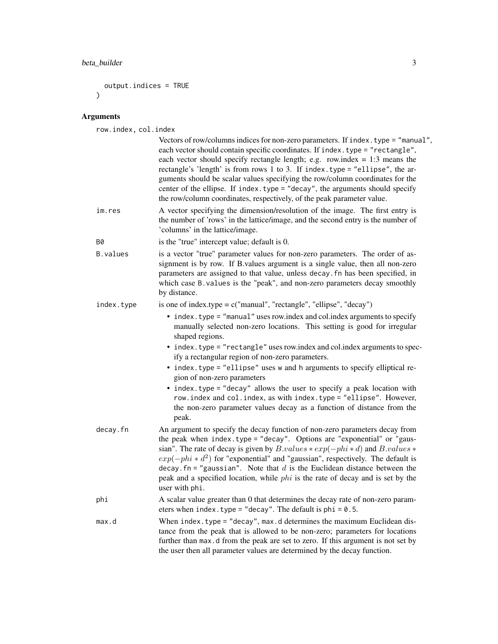```
output.indices = TRUE
\mathcal{L}
```
row.index, col.index

|                 | Vectors of row/columns indices for non-zero parameters. If index . type = "manual",<br>each vector should contain specific coordinates. If index. type = "rectangle",<br>each vector should specify rectangle length; e.g. row.index = $1:3$ means the<br>rectangle's 'length' is from rows 1 to 3. If index.type = "ellipse", the ar-<br>guments should be scalar values specifying the row/column coordinates for the<br>center of the ellipse. If index. type = "decay", the arguments should specify<br>the row/column coordinates, respectively, of the peak parameter value. |
|-----------------|------------------------------------------------------------------------------------------------------------------------------------------------------------------------------------------------------------------------------------------------------------------------------------------------------------------------------------------------------------------------------------------------------------------------------------------------------------------------------------------------------------------------------------------------------------------------------------|
| im.res          | A vector specifying the dimension/resolution of the image. The first entry is<br>the number of 'rows' in the lattice/image, and the second entry is the number of<br>'columns' in the lattice/image.                                                                                                                                                                                                                                                                                                                                                                               |
| <b>B0</b>       | is the "true" intercept value; default is 0.                                                                                                                                                                                                                                                                                                                                                                                                                                                                                                                                       |
| <b>B.values</b> | is a vector "true" parameter values for non-zero parameters. The order of as-<br>signment is by row. If B values argument is a single value, then all non-zero<br>parameters are assigned to that value, unless decay. fn has been specified, in<br>which case B. values is the "peak", and non-zero parameters decay smoothly<br>by distance.                                                                                                                                                                                                                                     |
| index.type      | is one of index.type = $c("manual", "rectangle", "ellipse", "decay")$                                                                                                                                                                                                                                                                                                                                                                                                                                                                                                              |
|                 | • index. type = "manual" uses row.index and col.index arguments to specify<br>manually selected non-zero locations. This setting is good for irregular<br>shaped regions.                                                                                                                                                                                                                                                                                                                                                                                                          |
|                 | • index. type = "rectangle" uses row.index and col.index arguments to spec-<br>ify a rectangular region of non-zero parameters.                                                                                                                                                                                                                                                                                                                                                                                                                                                    |
|                 | • index.type = "ellipse" uses w and h arguments to specify elliptical re-<br>gion of non-zero parameters                                                                                                                                                                                                                                                                                                                                                                                                                                                                           |
|                 | • index.type = "decay" allows the user to specify a peak location with<br>row.index and col.index, as with index.type = "ellipse". However,<br>the non-zero parameter values decay as a function of distance from the<br>peak.                                                                                                                                                                                                                                                                                                                                                     |
| decay.fn        | An argument to specify the decay function of non-zero parameters decay from<br>the peak when index.type = "decay". Options are "exponential" or "gaus-<br>sian". The rate of decay is given by $B.values * exp(-phi * d)$ and $B.values *$<br>$exp(-phi * d^2)$ for "exponential" and "gaussian", respectively. The default is<br>decay. $fn = "gaussian".$ Note that $d$ is the Euclidean distance between the<br>peak and a specified location, while $phi$ is the rate of decay and is set by the<br>user with phi.                                                             |
| phi             | A scalar value greater than 0 that determines the decay rate of non-zero param-<br>eters when index. type = "decay". The default is $phi = 0.5$ .                                                                                                                                                                                                                                                                                                                                                                                                                                  |
| max.d           | When index.type = "decay", max.d determines the maximum Euclidean dis-<br>tance from the peak that is allowed to be non-zero; parameters for locations<br>further than max.d from the peak are set to zero. If this argument is not set by<br>the user then all parameter values are determined by the decay function.                                                                                                                                                                                                                                                             |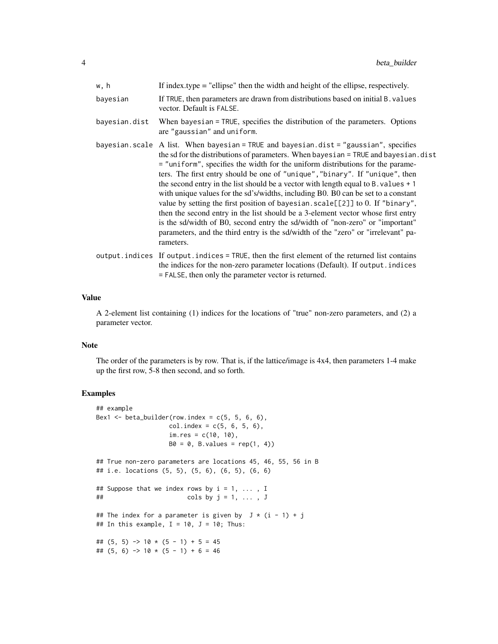| w, h          | If index type $=$ "ellipse" then the width and height of the ellipse, respectively.                                                                                                                                                                                                                                                                                                                                                                                                                                                                                                                                                                                                                                                                                                                                                                                                 |
|---------------|-------------------------------------------------------------------------------------------------------------------------------------------------------------------------------------------------------------------------------------------------------------------------------------------------------------------------------------------------------------------------------------------------------------------------------------------------------------------------------------------------------------------------------------------------------------------------------------------------------------------------------------------------------------------------------------------------------------------------------------------------------------------------------------------------------------------------------------------------------------------------------------|
| bayesian      | If TRUE, then parameters are drawn from distributions based on initial B. values<br>vector. Default is FALSE.                                                                                                                                                                                                                                                                                                                                                                                                                                                                                                                                                                                                                                                                                                                                                                       |
| bayesian.dist | When bayesian = TRUE, specifies the distribution of the parameters. Options<br>are "gaussian" and uniform.                                                                                                                                                                                                                                                                                                                                                                                                                                                                                                                                                                                                                                                                                                                                                                          |
|               | bayesian.scale A list. When bayesian = TRUE and bayesian.dist = "gaussian", specifies<br>the sd for the distributions of parameters. When bayesian = TRUE and bayesian. dist<br>= "uniform", specifies the width for the uniform distributions for the parame-<br>ters. The first entry should be one of "unique", "binary". If "unique", then<br>the second entry in the list should be a vector with length equal to B. values $+1$<br>with unique values for the sd's/widths, including B0. B0 can be set to a constant<br>value by setting the first position of bayesian. scale[[2]] to 0. If "binary",<br>then the second entry in the list should be a 3-element vector whose first entry<br>is the sd/width of B0, second entry the sd/width of "non-zero" or "important"<br>parameters, and the third entry is the sd/width of the "zero" or "irrelevant" pa-<br>rameters. |
|               | output indices If output indices = TRUE, then the first element of the returned list contains<br>the indices for the non-zero parameter locations (Default). If output indices<br>= FALSE, then only the parameter vector is returned.                                                                                                                                                                                                                                                                                                                                                                                                                                                                                                                                                                                                                                              |

A 2-element list containing (1) indices for the locations of "true" non-zero parameters, and (2) a parameter vector.

#### Note

The order of the parameters is by row. That is, if the lattice/image is 4x4, then parameters 1-4 make up the first row, 5-8 then second, and so forth.

# Examples

```
## example
Bex1 \le beta_builder(row.index = c(5, 5, 6, 6),
                   col.index = c(5, 6, 5, 6),
                   im.res = c(10, 10),
                   B0 = 0, B.values = rep(1, 4)## True non-zero parameters are locations 45, 46, 55, 56 in B
## i.e. locations (5, 5), (5, 6), (6, 5), (6, 6)
## Suppose that we index rows by i = 1, \ldots, I\# cols by j = 1, \ldots, J## The index for a parameter is given by J * (i - 1) + j## In this example, I = 10, J = 10; Thus:
## (5, 5) -> 10 \star (5 - 1) + 5 = 45
## (5, 6) -> 10 * (5 - 1) + 6 = 46
```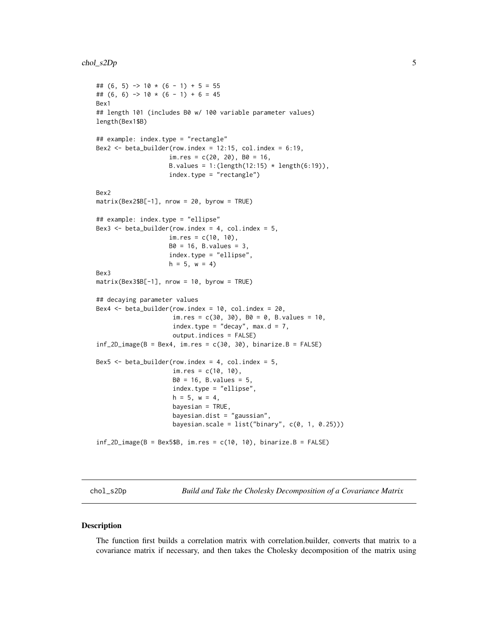```
## (6, 5) -> 10 *(6 - 1) + 5 = 55## (6, 6) -> 10 * (6 - 1) + 6 = 45
Bex1
## length 101 (includes B0 w/ 100 variable parameter values)
length(Bex1$B)
## example: index.type = "rectangle"
Bex2 \leq beta_builder(row.index = 12:15, col.index = 6:19,
                    im.res = c(20, 20), B0 = 16,
                    B.values = 1: (length(12:15) * length(6:19)),index.type = "rectangle")
Bex2
matrix(Bex2$B[-1], nrow = 20, byrow = TRUE)
## example: index.type = "ellipse"
Bex3 \leq beta_builder(row.index = 4, col.index = 5,
                    im.res = c(10, 10),
                    B0 = 16, B.values = 3,
                    index.type = "ellipse",
                    h = 5, w = 4)
Bex3
matrix(Bex3$B[-1], nrow = 10, byrow = TRUE)
## decaying parameter values
Bex4 \leq beta_builder(row.index = 10, col.index = 20,
                     im.res = c(30, 30), B0 = 0, B. values = 10,index.type = "decay", max.d = 7,
                     output.indices = FALSE)
inf_2D_image(B = Bex4, im.res = c(30, 30), binarize.B = FALSE)
Bex5 \leq beta_builder(row.index = 4, col.index = 5,
                     im.res = c(10, 10),
                     B0 = 16, B.values = 5,
                     index.type = "ellipse",
                     h = 5, w = 4,
                     bayesian = TRUE,
                     bayesian.dist = "gaussian",
                     bayesian.scale = list("binary", c(0, 1, 0.25)))
inf_2D_image(B = Bex5$B, im.res = c(10, 10), binarize.B = FALSE)
```
<span id="page-4-1"></span>chol\_s2Dp *Build and Take the Cholesky Decomposition of a Covariance Matrix*

#### Description

The function first builds a correlation matrix with correlation.builder, converts that matrix to a covariance matrix if necessary, and then takes the Cholesky decomposition of the matrix using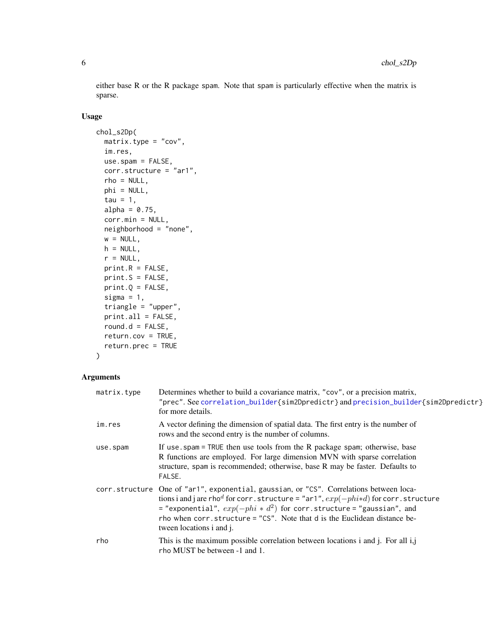<span id="page-5-0"></span>either base R or the R package spam. Note that spam is particularly effective when the matrix is sparse.

## Usage

```
chol_s2Dp(
 matrix-type = "cov",im.res,
 use্pam = FALSE,corr.structure = "ar1",
  rho = NULL,phi = NULL,
  tau = 1,
  alpha = 0.75,
  corr.min = NULL,
 neighborhood = "none",
 w = NULL,h = NULL,r = NULL,print.R = FALSE,print.S = FALSE,
 print.Q = FALSE,sigma = 1,
  triangle = "upper",
  print.all = FALSE,
  round.d = FALSE,
  return.cov = TRUE,
  return.prec = TRUE
\mathcal{L}
```

| matrix.type | Determines whether to build a covariance matrix, "cov", or a precision matrix,<br>"prec". See correlation_builder{sim2Dpredictr} and precision_builder{sim2Dpredictr}<br>for more details.                                                                                                                                                                                       |
|-------------|----------------------------------------------------------------------------------------------------------------------------------------------------------------------------------------------------------------------------------------------------------------------------------------------------------------------------------------------------------------------------------|
| im.res      | A vector defining the dimension of spatial data. The first entry is the number of<br>rows and the second entry is the number of columns.                                                                                                                                                                                                                                         |
| use.spam    | If use, spam = TRUE then use tools from the R package spam; otherwise, base<br>R functions are employed. For large dimension MVN with sparse correlation<br>structure, spam is recommended; otherwise, base R may be faster. Defaults to<br>FALSE.                                                                                                                               |
|             | corr.structure One of "ar1", exponential, gaussian, or "CS". Correlations between loca-<br>tions i and j are rho <sup>d</sup> for corr. structure = "ar1", $exp(-phi*d)$ for corr. structure<br>= "exponential", $exp(-phi * d^2)$ for corr.structure = "gaussian", and<br>rho when corr.structure = "CS". Note that d is the Euclidean distance be-<br>tween locations i and j. |
| rho         | This is the maximum possible correlation between locations i and j. For all i,j<br>rho MUST be between -1 and 1.                                                                                                                                                                                                                                                                 |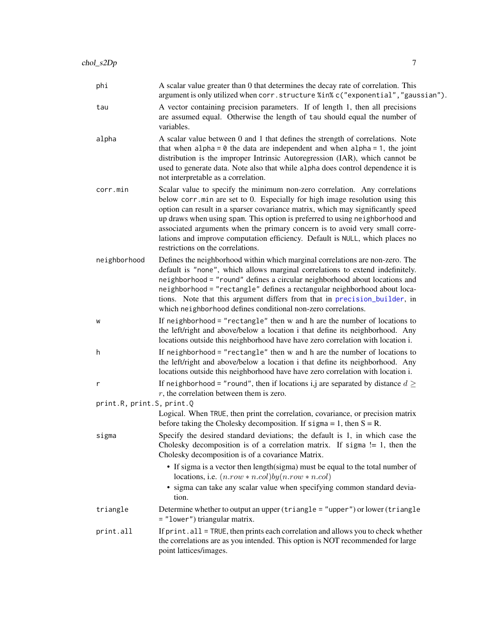<span id="page-6-0"></span>

| phi                       | A scalar value greater than 0 that determines the decay rate of correlation. This<br>argument is only utilized when corr. structure %in% c("exponential","gaussian").                                                                                                                                                                                                                                                                                                                                                             |
|---------------------------|-----------------------------------------------------------------------------------------------------------------------------------------------------------------------------------------------------------------------------------------------------------------------------------------------------------------------------------------------------------------------------------------------------------------------------------------------------------------------------------------------------------------------------------|
| tau                       | A vector containing precision parameters. If of length 1, then all precisions<br>are assumed equal. Otherwise the length of tau should equal the number of<br>variables.                                                                                                                                                                                                                                                                                                                                                          |
| alpha                     | A scalar value between 0 and 1 that defines the strength of correlations. Note<br>that when $alpha = 0$ the data are independent and when $alpha = 1$ , the joint<br>distribution is the improper Intrinsic Autoregression (IAR), which cannot be<br>used to generate data. Note also that while alpha does control dependence it is<br>not interpretable as a correlation.                                                                                                                                                       |
| corr.min                  | Scalar value to specify the minimum non-zero correlation. Any correlations<br>below corr.min are set to 0. Especially for high image resolution using this<br>option can result in a sparser covariance matrix, which may significantly speed<br>up draws when using spam. This option is preferred to using neighborhood and<br>associated arguments when the primary concern is to avoid very small corre-<br>lations and improve computation efficiency. Default is NULL, which places no<br>restrictions on the correlations. |
| neighborhood              | Defines the neighborhood within which marginal correlations are non-zero. The<br>default is "none", which allows marginal correlations to extend indefinitely.<br>neighborhood = "round" defines a circular neighborhood about locations and<br>neighborhood = "rectangle" defines a rectangular neighborhood about loca-<br>tions. Note that this argument differs from that in precision_builder, in<br>which neighborhood defines conditional non-zero correlations.                                                           |
| W                         | If neighborhood = "rectangle" then $w$ and $h$ are the number of locations to<br>the left/right and above/below a location i that define its neighborhood. Any<br>locations outside this neighborhood have have zero correlation with location i.                                                                                                                                                                                                                                                                                 |
| h                         | If neighborhood = "rectangle" then $w$ and $h$ are the number of locations to<br>the left/right and above/below a location i that define its neighborhood. Any<br>locations outside this neighborhood have have zero correlation with location i.                                                                                                                                                                                                                                                                                 |
| r                         | If neighborhood = "round", then if locations i,j are separated by distance $d \geq$<br>$r$ , the correlation between them is zero.                                                                                                                                                                                                                                                                                                                                                                                                |
| print.R, print.S, print.Q | Logical. When TRUE, then print the correlation, covariance, or precision matrix<br>before taking the Cholesky decomposition. If $sigma = 1$ , then $S = R$ .                                                                                                                                                                                                                                                                                                                                                                      |
| sigma                     | Specify the desired standard deviations; the default is 1, in which case the<br>Cholesky decomposition is of a correlation matrix. If sigma $!= 1$ , then the<br>Cholesky decomposition is of a covariance Matrix.                                                                                                                                                                                                                                                                                                                |
|                           | • If sigma is a vector then length(sigma) must be equal to the total number of<br>locations, i.e. $(nrow * n,col)by(nrow * n,col)$<br>· sigma can take any scalar value when specifying common standard devia-<br>tion.                                                                                                                                                                                                                                                                                                           |
| triangle                  | Determine whether to output an upper $(triangle = "upper")$ or lower $(triangle = "upper")$<br>$=$ "lower") triangular matrix.                                                                                                                                                                                                                                                                                                                                                                                                    |
| print.all                 | If $print$ all = TRUE, then prints each correlation and allows you to check whether<br>the correlations are as you intended. This option is NOT recommended for large<br>point lattices/images.                                                                                                                                                                                                                                                                                                                                   |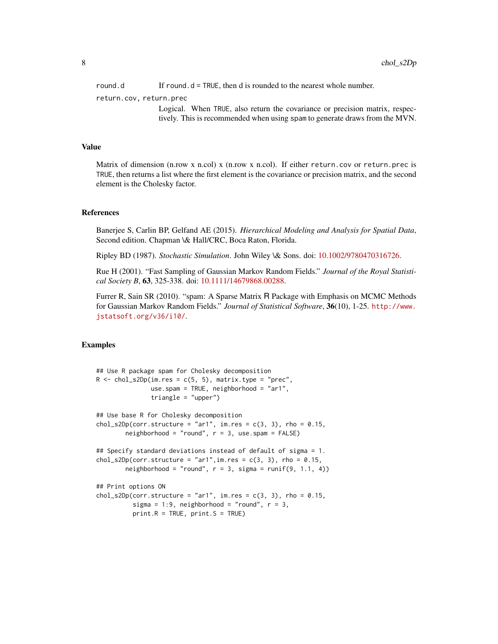round.d If round.d = TRUE, then d is rounded to the nearest whole number.

return.cov, return.prec

Logical. When TRUE, also return the covariance or precision matrix, respectively. This is recommended when using spam to generate draws from the MVN.

#### Value

Matrix of dimension (n.row x n.col) x (n.row x n.col). If either return.cov or return.prec is TRUE, then returns a list where the first element is the covariance or precision matrix, and the second element is the Cholesky factor.

#### References

Banerjee S, Carlin BP, Gelfand AE (2015). *Hierarchical Modeling and Analysis for Spatial Data*, Second edition. Chapman \& Hall/CRC, Boca Raton, Florida.

Ripley BD (1987). *Stochastic Simulation*. John Wiley \& Sons. doi: [10.1002/9780470316726.](https://doi.org/10.1002/9780470316726)

Rue H (2001). "Fast Sampling of Gaussian Markov Random Fields." *Journal of the Royal Statistical Society B*, 63, 325-338. doi: [10.1111/14679868.00288.](https://doi.org/10.1111/1467-9868.00288)

Furrer R, Sain SR (2010). "spam: A Sparse Matrix R Package with Emphasis on MCMC Methods for Gaussian Markov Random Fields." *Journal of Statistical Software*, 36(10), 1-25. [http://www.](http://www.jstatsoft.org/v36/i10/) [jstatsoft.org/v36/i10/](http://www.jstatsoft.org/v36/i10/).

#### Examples

```
## Use R package spam for Cholesky decomposition
R \le - chol_s2Dp(im.res = c(5, 5), matrix.type = "prec",
               use.spam = TRUE, neighborhood = "ar1",
               triangle = "upper")
## Use base R for Cholesky decomposition
chol_s2Dp(corr.structure = "ar1", im,res = c(3, 3), rho = 0.15,neighborhood = "round", r = 3, use.spam = FALSE)
## Specify standard deviations instead of default of sigma = 1.
chol_s2Dp(corr.structure = "ar1", im,res = c(3, 3), rho = 0.15,neighborhood = "round", r = 3, sigma = runif(9, 1.1, 4))
## Print options ON
chol_s2Dp(corr.structure = "ar1", im,res = c(3, 3), rho = 0.15,sigma = 1:9, neighborhood = "round", r = 3,
          print.R = TRUE, print.S = TRUE)
```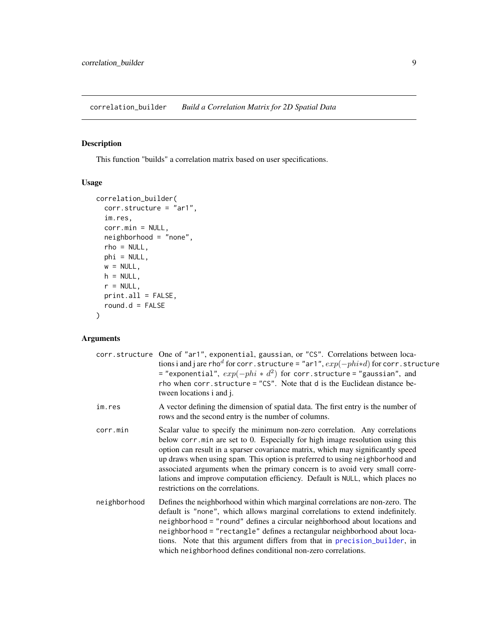<span id="page-8-1"></span><span id="page-8-0"></span>correlation\_builder *Build a Correlation Matrix for 2D Spatial Data*

# Description

This function "builds" a correlation matrix based on user specifications.

# Usage

```
correlation_builder(
 corr.structure = "ar1",
 im.res,
 corr.min = NULL,
 neighborhood = "none",
 rho = NULL,
 phi = NULL,w = NULL,h = NULL,r = NULL,print.all = FALSE,
 round.d = FALSE
)
```

|              | corr.structure One of "ar1", exponential, gaussian, or "CS". Correlations between loca-<br>tions i and j are rho <sup>d</sup> for corr.structure = "ar1", $exp(-phi * d)$ for corr.structure<br>= "exponential", $exp(-phi * d^2)$ for corr.structure = "gaussian", and<br>rho when corr.structure = "CS". Note that d is the Euclidean distance be-<br>tween locations i and j.                                                                                                                                                  |
|--------------|-----------------------------------------------------------------------------------------------------------------------------------------------------------------------------------------------------------------------------------------------------------------------------------------------------------------------------------------------------------------------------------------------------------------------------------------------------------------------------------------------------------------------------------|
| im.res       | A vector defining the dimension of spatial data. The first entry is the number of<br>rows and the second entry is the number of columns.                                                                                                                                                                                                                                                                                                                                                                                          |
| corr.min     | Scalar value to specify the minimum non-zero correlation. Any correlations<br>below corr.min are set to 0. Especially for high image resolution using this<br>option can result in a sparser covariance matrix, which may significantly speed<br>up draws when using spam. This option is preferred to using neighborhood and<br>associated arguments when the primary concern is to avoid very small corre-<br>lations and improve computation efficiency. Default is NULL, which places no<br>restrictions on the correlations. |
| neighborhood | Defines the neighborhood within which marginal correlations are non-zero. The<br>default is "none", which allows marginal correlations to extend indefinitely.<br>neighborhood = "round" defines a circular neighborhood about locations and<br>neighborhood = "rectangle" defines a rectangular neighborhood about loca-<br>tions. Note that this argument differs from that in precision_builder, in<br>which neighborhood defines conditional non-zero correlations.                                                           |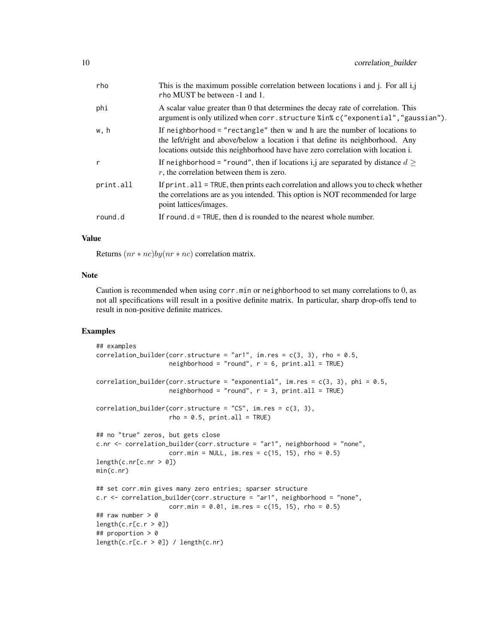| rho          | This is the maximum possible correlation between locations i and j. For all i,j<br>rho MUST be between -1 and 1.                                                                                                                                  |
|--------------|---------------------------------------------------------------------------------------------------------------------------------------------------------------------------------------------------------------------------------------------------|
| phi          | A scalar value greater than 0 that determines the decay rate of correlation. This<br>argument is only utilized when corr. structure %in% c("exponential","gaussian").                                                                             |
| w, h         | If neighborhood = "rectangle" then $w$ and $h$ are the number of locations to<br>the left/right and above/below a location i that define its neighborhood. Any<br>locations outside this neighborhood have have zero correlation with location i. |
| $\mathsf{r}$ | If neighborhood = "round", then if locations i, are separated by distance $d \geq$<br>$r$ , the correlation between them is zero.                                                                                                                 |
| print.all    | If $print$ all $=$ TRUE, then prints each correlation and allows you to check whether<br>the correlations are as you intended. This option is NOT recommended for large<br>point lattices/images.                                                 |
| round.d      | If round, $d = TRUE$ , then d is rounded to the nearest whole number.                                                                                                                                                                             |

Returns  $(nr * nc)$ by $(nr * nc)$  correlation matrix.

#### Note

Caution is recommended when using corr.min or neighborhood to set many correlations to 0, as not all specifications will result in a positive definite matrix. In particular, sharp drop-offs tend to result in non-positive definite matrices.

# Examples

```
## examples
correlation_builder(corr.structure = "ar1", im.res = c(3, 3), rho = 0.5,
                    neighborhood = "round", r = 6, print.all = TRUE)
correlation_builder(corr.structure = "exponential", im.res = c(3, 3), phi = 0.5,
                    neighborhood = "round", r = 3, print.al1 = TRUE)correlation_builder(corr.structure = "CS", im.res = c(3, 3),
                    rho = 0.5, print.all = TRUE)
## no "true" zeros, but gets close
c.nr <- correlation_builder(corr.structure = "ar1", neighborhood = "none",
                    corr.min = NULL, im.res = c(15, 15), rho = 0.5)
length(c.nr[c.nr > 0])min(c.nr)
## set corr.min gives many zero entries; sparser structure
c.r <- correlation_builder(corr.structure = "ar1", neighborhood = "none",
                    corr.min = 0.01, im.res = c(15, 15), rho = 0.5)
## raw number > 0
length(c.r[c.r > 0])## proportion > 0
length(c.r[c.r > 0]) / length(c.nr)
```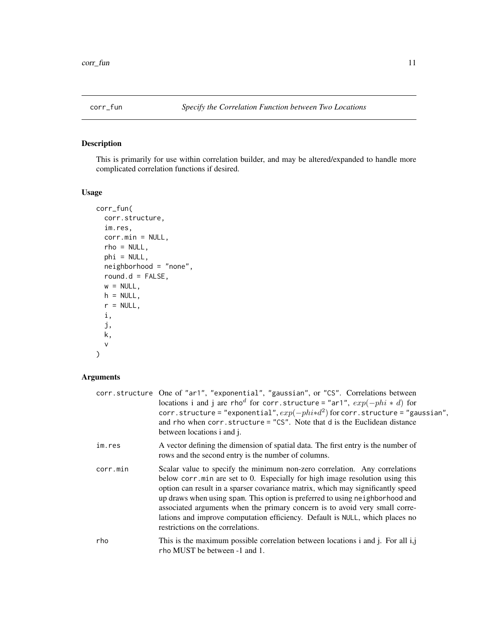<span id="page-10-0"></span>

# Description

This is primarily for use within correlation builder, and may be altered/expanded to handle more complicated correlation functions if desired.

# Usage

```
corr_fun(
  corr.structure,
  im.res,
 corr.min = NULL,
  rho = NULL,
 phi = NULL,neighborhood = "none",
 round.d = FALSE,w = NULL,h = NULL,r = NULL,i,
  j,
 k,
  v
\mathcal{L}
```

|          | corr.structure One of "ar1", "exponential", "gaussian", or "CS". Correlations between<br>locations i and j are rho <sup>d</sup> for corr.structure = "ar1", $exp(-phi * d)$ for<br>corr.structure = "exponential", $exp(-phi * d^2)$ for corr.structure = "gaussian",<br>and rho when corr.structure = "CS". Note that d is the Euclidean distance<br>between locations i and j.                                                                                                                                                  |
|----------|-----------------------------------------------------------------------------------------------------------------------------------------------------------------------------------------------------------------------------------------------------------------------------------------------------------------------------------------------------------------------------------------------------------------------------------------------------------------------------------------------------------------------------------|
| im.res   | A vector defining the dimension of spatial data. The first entry is the number of<br>rows and the second entry is the number of columns.                                                                                                                                                                                                                                                                                                                                                                                          |
| corr.min | Scalar value to specify the minimum non-zero correlation. Any correlations<br>below corr.min are set to 0. Especially for high image resolution using this<br>option can result in a sparser covariance matrix, which may significantly speed<br>up draws when using spam. This option is preferred to using neighborhood and<br>associated arguments when the primary concern is to avoid very small corre-<br>lations and improve computation efficiency. Default is NULL, which places no<br>restrictions on the correlations. |
| rho      | This is the maximum possible correlation between locations i and j. For all i,j<br>rho MUST be between -1 and 1.                                                                                                                                                                                                                                                                                                                                                                                                                  |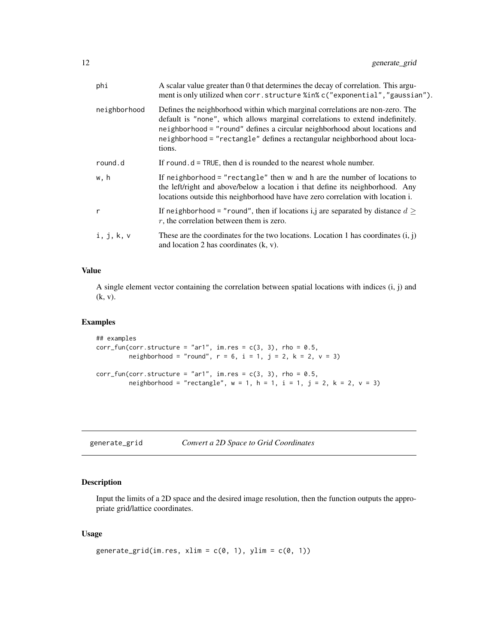<span id="page-11-0"></span>

| phi                   | A scalar value greater than 0 that determines the decay of correlation. This argu-<br>ment is only utilized when corr.structure %in% c("exponential","gaussian").                                                                                                                                                                   |
|-----------------------|-------------------------------------------------------------------------------------------------------------------------------------------------------------------------------------------------------------------------------------------------------------------------------------------------------------------------------------|
| neighborhood          | Defines the neighborhood within which marginal correlations are non-zero. The<br>default is "none", which allows marginal correlations to extend indefinitely.<br>neighborhood = "round" defines a circular neighborhood about locations and<br>neighborhood = "rectangle" defines a rectangular neighborhood about loca-<br>tions. |
| round.d               | If round $d = TRUE$ , then d is rounded to the nearest whole number.                                                                                                                                                                                                                                                                |
| w, h                  | If neighborhood = "rectangle" then $w$ and $h$ are the number of locations to<br>the left/right and above/below a location i that define its neighborhood. Any<br>locations outside this neighborhood have have zero correlation with location i.                                                                                   |
| r                     | If neighborhood = "round", then if locations i, are separated by distance $d \geq$<br>$r$ , the correlation between them is zero.                                                                                                                                                                                                   |
| $i$ , $j$ , $k$ , $v$ | These are the coordinates for the two locations. Location 1 has coordinates $(i, j)$<br>and location 2 has coordinates $(k, v)$ .                                                                                                                                                                                                   |

A single element vector containing the correlation between spatial locations with indices (i, j) and (k, v).

# Examples

```
## examples
corr_fun(corr.structure = "ar1", im,res = c(3, 3), rho = 0.5,neighborhood = "round", r = 6, i = 1, j = 2, k = 2, v = 3)corr_fun(corr.structure = "ar1", im,res = c(3, 3), rho = 0.5,neighborhood = "rectangle", w = 1, h = 1, i = 1, j = 2, k = 2, v = 3)
```

| generate_grid | Convert a 2D Space to Grid Coordinates |
|---------------|----------------------------------------|
|---------------|----------------------------------------|

# Description

Input the limits of a 2D space and the desired image resolution, then the function outputs the appropriate grid/lattice coordinates.

# Usage

```
generate_grid(im.res, xlim = c(\emptyset, 1), ylim = c(\emptyset, 1))
```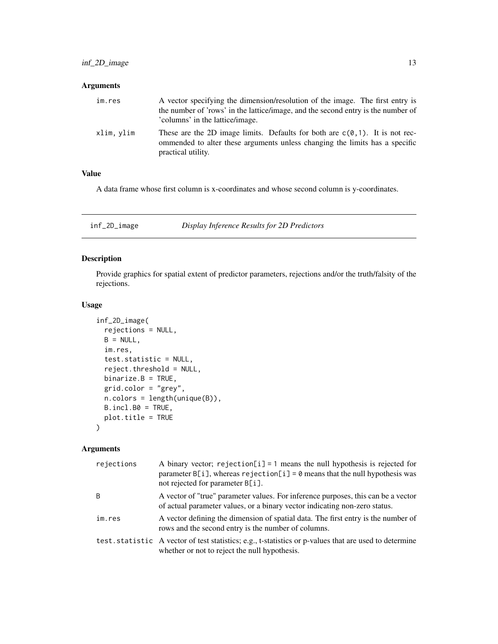<span id="page-12-0"></span>

| im.res     | A vector specifying the dimension/resolution of the image. The first entry is<br>the number of 'rows' in the lattice/image, and the second entry is the number of<br>'columns' in the lattice/image. |
|------------|------------------------------------------------------------------------------------------------------------------------------------------------------------------------------------------------------|
| xlim, vlim | These are the 2D image limits. Defaults for both are $c(0,1)$ . It is not rec-<br>ommended to alter these arguments unless changing the limits has a specific<br>practical utility.                  |

# Value

A data frame whose first column is x-coordinates and whose second column is y-coordinates.

inf\_2D\_image *Display Inference Results for 2D Predictors*

# Description

Provide graphics for spatial extent of predictor parameters, rejections and/or the truth/falsity of the rejections.

## Usage

```
inf_2D_image(
 rejections = NULL,
 B = NULL,im.res,
 test.statistic = NULL,
 reject.threshold = NULL,
 binarize.B = TRUE,
 grid.color = "grey",
 n.colors = length(unique(B)),
 B.incl.B0 = TRUE,plot.title = TRUE
)
```

| rejections | A binary vector; $rejection[i] = 1$ means the null hypothesis is rejected for<br>parameter $B[i]$ , whereas rejection $[i] = 0$ means that the null hypothesis was<br>not rejected for parameter B[i]. |
|------------|--------------------------------------------------------------------------------------------------------------------------------------------------------------------------------------------------------|
| B          | A vector of "true" parameter values. For inference purposes, this can be a vector<br>of actual parameter values, or a binary vector indicating non-zero status.                                        |
| im.res     | A vector defining the dimension of spatial data. The first entry is the number of<br>rows and the second entry is the number of columns.                                                               |
|            | test.statistic A vector of test statistics; e.g., t-statistics or p-values that are used to determine<br>whether or not to reject the null hypothesis.                                                 |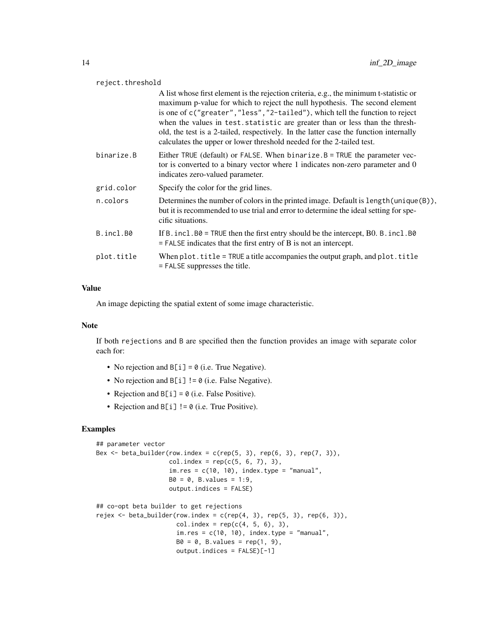| reject.threshold |                                                                                                                                                                                                                                                                                                                                                                                                                                                                                                          |
|------------------|----------------------------------------------------------------------------------------------------------------------------------------------------------------------------------------------------------------------------------------------------------------------------------------------------------------------------------------------------------------------------------------------------------------------------------------------------------------------------------------------------------|
|                  | A list whose first element is the rejection criteria, e.g., the minimum t-statistic or<br>maximum p-value for which to reject the null hypothesis. The second element<br>is one of c("greater", "less", "2-tailed"), which tell the function to reject<br>when the values in test. statistic are greater than or less than the thresh-<br>old, the test is a 2-tailed, respectively. In the latter case the function internally<br>calculates the upper or lower threshold needed for the 2-tailed test. |
| binarize.B       | Either TRUE (default) or FALSE. When binarize. $B = TRUE$ the parameter vec-<br>tor is converted to a binary vector where 1 indicates non-zero parameter and 0<br>indicates zero-valued parameter.                                                                                                                                                                                                                                                                                                       |
| grid.color       | Specify the color for the grid lines.                                                                                                                                                                                                                                                                                                                                                                                                                                                                    |
| n.colors         | Determines the number of colors in the printed image. Default is $length(unique(B)),$<br>but it is recommended to use trial and error to determine the ideal setting for spe-<br>cific situations.                                                                                                                                                                                                                                                                                                       |
| B.incl.B0        | If B. incl. $B0 = TRUE$ then the first entry should be the intercept, B0. B. incl. $B0$<br>$=$ FALSE indicates that the first entry of B is not an intercept.                                                                                                                                                                                                                                                                                                                                            |
| plot.title       | When $plot.title = TRUE$ a title accompanies the output graph, and $plot.title$<br>= FALSE suppresses the title.                                                                                                                                                                                                                                                                                                                                                                                         |
|                  |                                                                                                                                                                                                                                                                                                                                                                                                                                                                                                          |

An image depicting the spatial extent of some image characteristic.

#### Note

If both rejections and B are specified then the function provides an image with separate color each for:

- No rejection and  $B[i] = 0$  (i.e. True Negative).
- No rejection and  $B[i]$  ! = 0 (i.e. False Negative).
- Rejection and  $B[i] = 0$  (i.e. False Positive).
- Rejection and B[i] != 0 (i.e. True Positive).

# Examples

```
## parameter vector
Bex \leq beta_builder(row.index = c(rep(5, 3), rep(6, 3), rep(7, 3)),
                   col.index = rep(c(5, 6, 7), 3),im.res = c(10, 10), index_type = "manual",B0 = 0, B.values = 1:9,
                   output.indices = FALSE)
## co-opt beta builder to get rejections
rejex <- beta_builder(row.index = c(rep(4, 3), rep(5, 3), rep(6, 3)),col.index = rep(c(4, 5, 6), 3),imres = c(10, 10), index-type = "manual",B0 = 0, B.values = rep(1, 9),
                     output.indices = FALSE)[-1]
```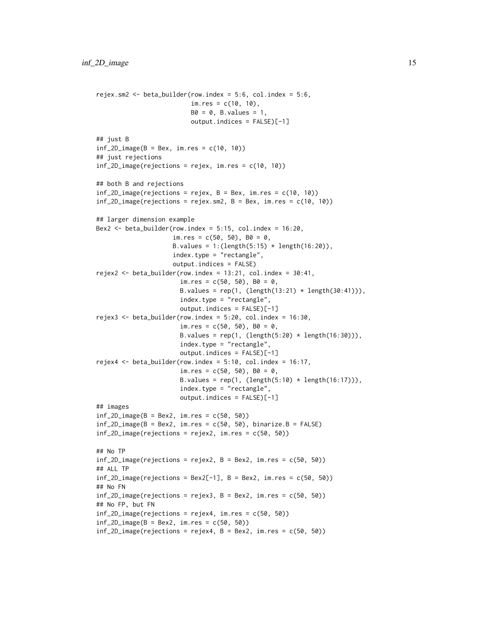```
rejex.sm2 <- beta_builder(row.index = 5:6, col.index = 5:6,
                          im.res = c(10, 10),
                          B0 = 0, B.values = 1,
                          output.indices = FALSE)[-1]
## just B
inf_2D_image(B = Bex, im.res = c(10, 10))
## just rejections
inf_2D_image(rejections = rejex, im.res = c(10, 10))
## both B and rejections
inf_2D_image(rejections = rejex, B = Bex, im.res = c(10, 10))
inf_2D_ image(rejections = rejex.sm2, B = Bex, im.res = c(10, 10))
## larger dimension example
Bex2 <- beta_builder(row.index = 5:15, col.index = 16:20,
                     im.res = c(50, 50), B0 = 0,
                     B.values = 1: (length(5:15) * length(16:20)),index.type = "rectangle",
                     output.indices = FALSE)
rejex2 <- beta_builder(row.index = 13:21, col.index = 30:41,
                       im.res = c(50, 50), B0 = 0,
                       B.values = rep(1, (length(13:21) * length(30:41))),index.type = "rectangle",
                       output.indices = FALSE)[-1]
rejex3 <- beta_builder(row.index = 5:20, col.index = 16:30,
                       im.res = c(50, 50), B0 = 0,
                       B.values = rep(1, (length(5:20) * length(16:30))),index.type = "rectangle",
                       output.indices = FALSE)[-1]
rejex4 <- beta_builder(row.index = 5:10, col.index = 16:17,
                       im.res = c(50, 50), B0 = 0,
                       B.values = rep(1, (length(5:10) * length(16:17))),index.type = "rectangle",
                       output.indices = FALSE)[-1]
## images
inf_2D_image(B = Bex2, im.res = c(50, 50))
inf_2D_image(B = Bex2, im.res = c(50, 50), binarize.B = FALSE)
inf_2D_ image(rejections = rejex2, im.res = c(50, 50))
## No TP
inf_2D_image(rejections = rejex2, B = Bex2, im.res = c(50, 50))
## ALL TP
inf_2D_ image(rejections = Bex2[-1], B = Bex2, im.res = c(50, 50))
## No FN
inf_2D_image(rejections = rejex3, B = Bex2, im.res = c(50, 50))
## No FP, but FN
inf_2D_image(rejections = rejex4, im.res = c(50, 50))
inf_2D_image(B = Bex2, im.res = c(50, 50))
inf_2D_image(rejections = rejex4, B = Bex2, im.res = c(50, 50))
```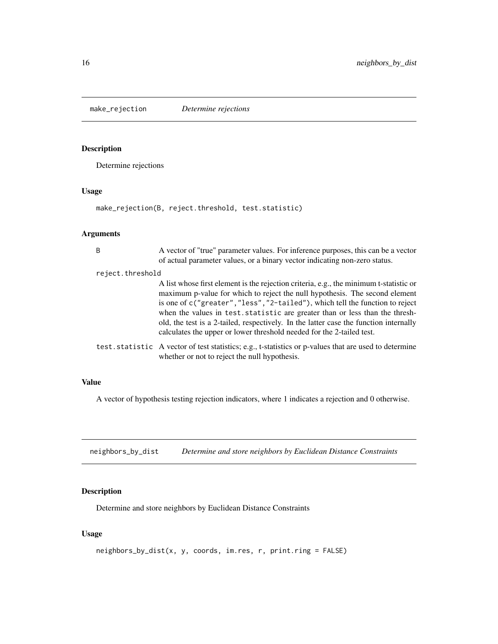<span id="page-15-0"></span>make\_rejection *Determine rejections*

# Description

Determine rejections

#### Usage

```
make_rejection(B, reject.threshold, test.statistic)
```
# Arguments

| B.               | A vector of "true" parameter values. For inference purposes, this can be a vector<br>of actual parameter values, or a binary vector indicating non-zero status.                                                                                                                                                                                                                                                                                                                                          |
|------------------|----------------------------------------------------------------------------------------------------------------------------------------------------------------------------------------------------------------------------------------------------------------------------------------------------------------------------------------------------------------------------------------------------------------------------------------------------------------------------------------------------------|
| reject.threshold |                                                                                                                                                                                                                                                                                                                                                                                                                                                                                                          |
|                  | A list whose first element is the rejection criteria, e.g., the minimum t-statistic or<br>maximum p-value for which to reject the null hypothesis. The second element<br>is one of c("greater", "less", "2-tailed"), which tell the function to reject<br>when the values in test. statistic are greater than or less than the thresh-<br>old, the test is a 2-tailed, respectively. In the latter case the function internally<br>calculates the upper or lower threshold needed for the 2-tailed test. |
|                  | test. statistic A vector of test statistics; e.g., t-statistics or p-values that are used to determine<br>whether or not to reject the null hypothesis.                                                                                                                                                                                                                                                                                                                                                  |

# Value

A vector of hypothesis testing rejection indicators, where 1 indicates a rejection and 0 otherwise.

neighbors\_by\_dist *Determine and store neighbors by Euclidean Distance Constraints*

# Description

Determine and store neighbors by Euclidean Distance Constraints

# Usage

```
neighbors_by_dist(x, y, coords, im.res, r, print.ring = FALSE)
```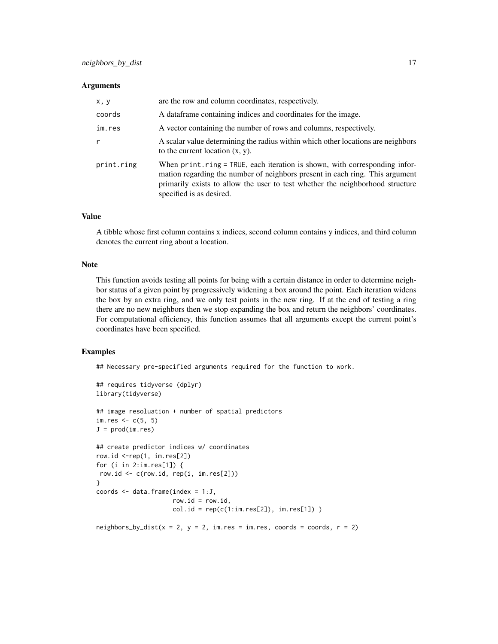| x, y       | are the row and column coordinates, respectively.                                                                                                                                                                                                                             |
|------------|-------------------------------------------------------------------------------------------------------------------------------------------------------------------------------------------------------------------------------------------------------------------------------|
| coords     | A dataframe containing indices and coordinates for the image.                                                                                                                                                                                                                 |
| im.res     | A vector containing the number of rows and columns, respectively.                                                                                                                                                                                                             |
| r          | A scalar value determining the radius within which other locations are neighbors<br>to the current location $(x, y)$ .                                                                                                                                                        |
| print.ring | When $print$ , $ring$ = TRUE, each iteration is shown, with corresponding infor-<br>mation regarding the number of neighbors present in each ring. This argument<br>primarily exists to allow the user to test whether the neighborhood structure<br>specified is as desired. |

#### Value

A tibble whose first column contains x indices, second column contains y indices, and third column denotes the current ring about a location.

# Note

This function avoids testing all points for being with a certain distance in order to determine neighbor status of a given point by progressively widening a box around the point. Each iteration widens the box by an extra ring, and we only test points in the new ring. If at the end of testing a ring there are no new neighbors then we stop expanding the box and return the neighbors' coordinates. For computational efficiency, this function assumes that all arguments except the current point's coordinates have been specified.

#### Examples

## Necessary pre-specified arguments required for the function to work.

```
## requires tidyverse (dplyr)
library(tidyverse)
## image resoluation + number of spatial predictors
im.res \leq c(5, 5)
J = prod(imres)## create predictor indices w/ coordinates
row.id <-rep(1, im.res[2])
for (i in 2:im.res[1]) {
row.id <- c(row.id, rep(i, im.res[2]))
}
coords \leq data.frame(index = 1:J,
                     row.id = row.id,
                     col.id = rep(c(1:im.res[2]), im.res[1]) )
```
neighbors\_by\_dist( $x = 2$ ,  $y = 2$ , im.res = im.res, coords = coords,  $r = 2$ )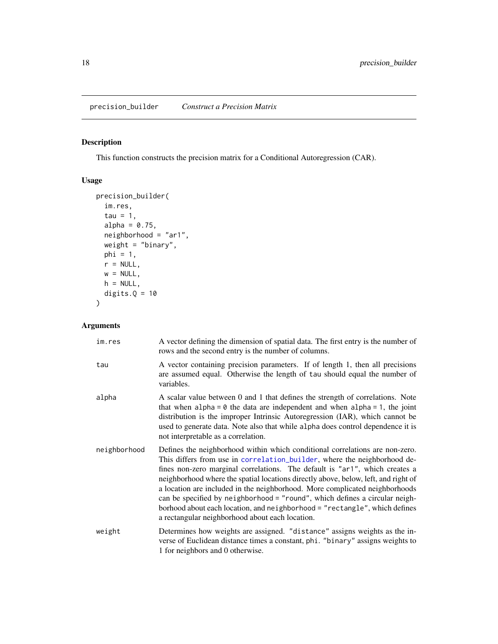<span id="page-17-1"></span><span id="page-17-0"></span>precision\_builder *Construct a Precision Matrix*

# Description

This function constructs the precision matrix for a Conditional Autoregression (CAR).

# Usage

```
precision_builder(
  im.res,
  tau = 1,alpha = 0.75,
 neighborhood = "ar1",
 weight = "binary",
 phi = 1,
 r = NULL,w = NULL,h = NULL,digits.Q = 10\mathcal{L}
```

| im.res       | A vector defining the dimension of spatial data. The first entry is the number of<br>rows and the second entry is the number of columns.                                                                                                                                                                                                                                                                                                                                                                                                                                                                                     |
|--------------|------------------------------------------------------------------------------------------------------------------------------------------------------------------------------------------------------------------------------------------------------------------------------------------------------------------------------------------------------------------------------------------------------------------------------------------------------------------------------------------------------------------------------------------------------------------------------------------------------------------------------|
| tau          | A vector containing precision parameters. If of length 1, then all precisions<br>are assumed equal. Otherwise the length of tau should equal the number of<br>variables.                                                                                                                                                                                                                                                                                                                                                                                                                                                     |
| alpha        | A scalar value between 0 and 1 that defines the strength of correlations. Note<br>that when $alpha = 0$ the data are independent and when $alpha = 1$ , the joint<br>distribution is the improper Intrinsic Autoregression (IAR), which cannot be<br>used to generate data. Note also that while alpha does control dependence it is<br>not interpretable as a correlation.                                                                                                                                                                                                                                                  |
| neighborhood | Defines the neighborhood within which conditional correlations are non-zero.<br>This differs from use in correlation_builder, where the neighborhood de-<br>fines non-zero marginal correlations. The default is "ar1", which creates a<br>neighborhood where the spatial locations directly above, below, left, and right of<br>a location are included in the neighborhood. More complicated neighborhoods<br>can be specified by neighborhood = "round", which defines a circular neigh-<br>borhood about each location, and neighborhood = "rectangle", which defines<br>a rectangular neighborhood about each location. |
| weight       | Determines how weights are assigned. "distance" assigns weights as the in-<br>verse of Euclidean distance times a constant, phi. "binary" assigns weights to<br>1 for neighbors and 0 otherwise.                                                                                                                                                                                                                                                                                                                                                                                                                             |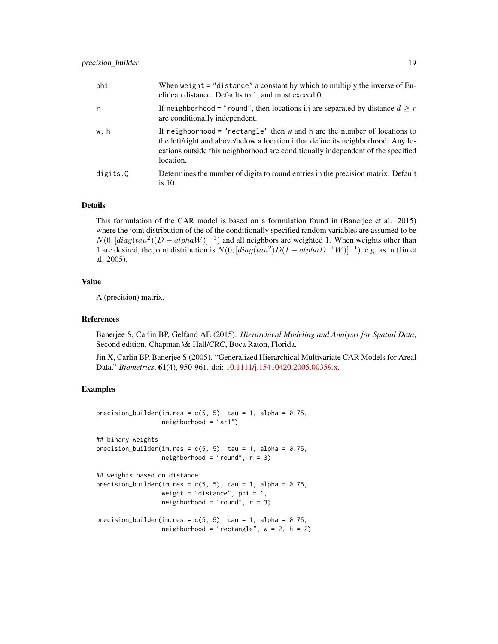| phi      | When weight $=$ "distance" a constant by which to multiply the inverse of Eu-<br>clidean distance. Defaults to 1, and must exceed 0.                                                                                                                            |
|----------|-----------------------------------------------------------------------------------------------------------------------------------------------------------------------------------------------------------------------------------------------------------------|
| r        | If neighborhood = "round", then locations i, are separated by distance $d \geq r$<br>are conditionally independent.                                                                                                                                             |
| w, h     | If neighborhood = "rectangle" then w and h are the number of locations to<br>the left/right and above/below a location i that define its neighborhood. Any lo-<br>cations outside this neighborhood are conditionally independent of the specified<br>location. |
| digits.0 | Determines the number of digits to round entries in the precision matrix. Default<br>is $10$ .                                                                                                                                                                  |

# Details

This formulation of the CAR model is based on a formulation found in (Banerjee et al. 2015) where the joint distribution of the of the conditionally specified random variables are assumed to be  $N(0, [diag(tau^2)(D - alphaW)]^{-1})$  and all neighbors are weighted 1. When weights other than 1 are desired, the joint distribution is  $N(0, [diag(tau^2)D(I - alphaD^{-1}W)]^{-1})$ , e.g. as in (Jin et al. 2005).

# Value

A (precision) matrix.

#### References

Banerjee S, Carlin BP, Gelfand AE (2015). *Hierarchical Modeling and Analysis for Spatial Data*, Second edition. Chapman \& Hall/CRC, Boca Raton, Florida.

Jin X, Carlin BP, Banerjee S (2005). "Generalized Hierarchical Multivariate CAR Models for Areal Data." *Biometrics*, 61(4), 950-961. doi: [10.1111/j.15410420.2005.00359.x.](https://doi.org/10.1111/j.1541-0420.2005.00359.x)

#### Examples

```
precision_builder(im.res = c(5, 5), tau = 1, alpha = 0.75,
                  neighborhood = "ar1")
## binary weights
precision_builder(im.res = c(5, 5), tau = 1, alpha = 0.75,
                  neighborhood = "round", r = 3)
## weights based on distance
precision_builder(im.res = c(5, 5), tau = 1, alpha = 0.75,
                  weight = "distance", phi = 1,
                  neighborhood = "round", r = 3)
precision_builder(im.res = c(5, 5), tau = 1, alpha = 0.75,
                  neighborhood = "rectangle", w = 2, h = 2)
```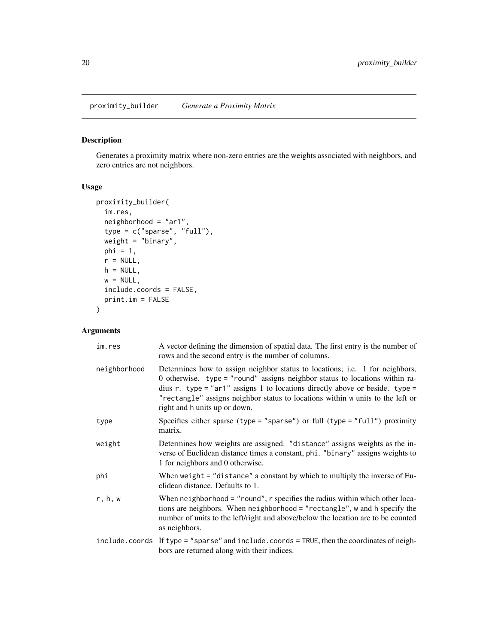<span id="page-19-0"></span>proximity\_builder *Generate a Proximity Matrix*

# Description

Generates a proximity matrix where non-zero entries are the weights associated with neighbors, and zero entries are not neighbors.

# Usage

```
proximity_builder(
  im.res,
  neighborhood = "ar1",
  type = c("sparse", "full"),
  weight = "binary",
  phi = 1,
  r = NULL,h = NULL,
  w = NULL,include.coords = FALSE,
  print.im = FALSE
\mathcal{L}
```

| im.res       | A vector defining the dimension of spatial data. The first entry is the number of<br>rows and the second entry is the number of columns.                                                                                                                                                                                                                       |
|--------------|----------------------------------------------------------------------------------------------------------------------------------------------------------------------------------------------------------------------------------------------------------------------------------------------------------------------------------------------------------------|
| neighborhood | Determines how to assign neighbor status to locations; i.e. 1 for neighbors,<br>0 otherwise. type = "round" assigns neighbor status to locations within ra-<br>dius r. type = "ar1" assigns 1 to locations directly above or beside. type =<br>"rectangle" assigns neighbor status to locations within w units to the left or<br>right and h units up or down. |
| type         | Specifies either sparse (type = "sparse") or full (type = "full") proximity<br>matrix.                                                                                                                                                                                                                                                                         |
| weight       | Determines how weights are assigned. "distance" assigns weights as the in-<br>verse of Euclidean distance times a constant, phi. "binary" assigns weights to<br>1 for neighbors and 0 otherwise.                                                                                                                                                               |
| phi          | When weight = "distance" a constant by which to multiply the inverse of Eu-<br>clidean distance. Defaults to 1.                                                                                                                                                                                                                                                |
| r, h, w      | When neighborhood = "round", r specifies the radius within which other loca-<br>tions are neighbors. When neighborhood = "rectangle", w and h specify the<br>number of units to the left/right and above/below the location are to be counted<br>as neighbors.                                                                                                 |
|              | include.coords If type = "sparse" and include.coords = TRUE, then the coordinates of neigh-<br>bors are returned along with their indices.                                                                                                                                                                                                                     |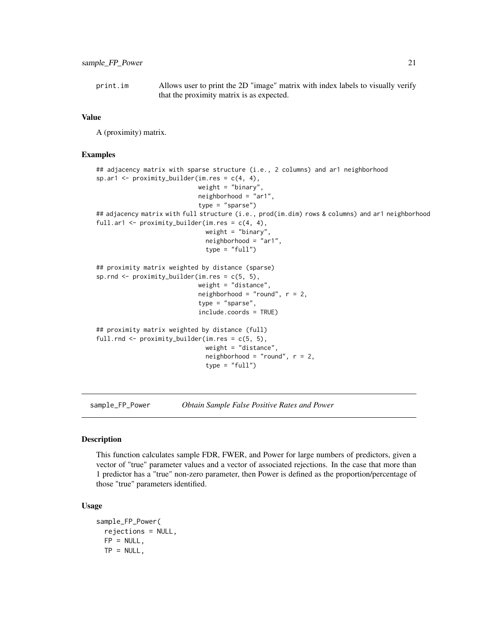<span id="page-20-0"></span>print.im Allows user to print the 2D "image" matrix with index labels to visually verify that the proximity matrix is as expected.

#### Value

A (proximity) matrix.

#### Examples

```
## adjacency matrix with sparse structure (i.e., 2 columns) and ar1 neighborhood
sp.ar1 <- proximity_builder(im.res = c(4, 4),
                            weight = "binary",
                            neighborhood = "ar1",
                            type = "sparse")
## adjacency matrix with full structure (i.e., prod(im.dim) rows & columns) and ar1 neighborhood
full.ar1 <- proximity_builder(im.res = c(4, 4),
                              weight = "binary",
                              neighborhood = "ar1",
                              type = "full")## proximity matrix weighted by distance (sparse)
sp.rnd \leq proximity_builder(im.res = c(5, 5),
                            weight = "distance",
                            neighborhood = "round", r = 2,
                            type = "sparse",
                            include.coords = TRUE)
## proximity matrix weighted by distance (full)
full.rnd <- proximity_builder(im.res = c(5, 5),
                              weight = "distance"neighborhood = "round", r = 2,
                              type = "full")
```
sample\_FP\_Power *Obtain Sample False Positive Rates and Power*

#### **Description**

This function calculates sample FDR, FWER, and Power for large numbers of predictors, given a vector of "true" parameter values and a vector of associated rejections. In the case that more than 1 predictor has a "true" non-zero parameter, then Power is defined as the proportion/percentage of those "true" parameters identified.

#### Usage

```
sample_FP_Power(
 rejections = NULL,
 FP = NULL,TP = NULL,
```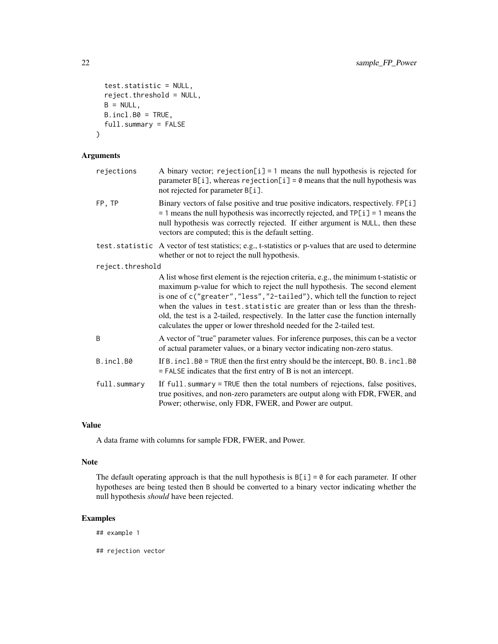```
test.statistic = NULL,
  reject.threshold = NULL,
 B = NULL,B.incl.B0 = TRUE,
 full.summary = FALSE
)
```

| rejections       | A binary vector; rejection[i] = 1 means the null hypothesis is rejected for<br>parameter $B[i]$ , whereas $rejection[i] = 0$ means that the null hypothesis was<br>not rejected for parameter B[i].                                                                                                                                                                                                                                                                                                      |
|------------------|----------------------------------------------------------------------------------------------------------------------------------------------------------------------------------------------------------------------------------------------------------------------------------------------------------------------------------------------------------------------------------------------------------------------------------------------------------------------------------------------------------|
| FP, TP           | Binary vectors of false positive and true positive indicators, respectively. FP[i]<br>$= 1$ means the null hypothesis was incorrectly rejected, and $TP[i] = 1$ means the<br>null hypothesis was correctly rejected. If either argument is NULL, then these<br>vectors are computed; this is the default setting.                                                                                                                                                                                        |
|                  | test. statistic A vector of test statistics; e.g., t-statistics or p-values that are used to determine<br>whether or not to reject the null hypothesis.                                                                                                                                                                                                                                                                                                                                                  |
| reject.threshold |                                                                                                                                                                                                                                                                                                                                                                                                                                                                                                          |
|                  | A list whose first element is the rejection criteria, e.g., the minimum t-statistic or<br>maximum p-value for which to reject the null hypothesis. The second element<br>is one of c("greater", "less", "2-tailed"), which tell the function to reject<br>when the values in test. statistic are greater than or less than the thresh-<br>old, the test is a 2-tailed, respectively. In the latter case the function internally<br>calculates the upper or lower threshold needed for the 2-tailed test. |
| B                | A vector of "true" parameter values. For inference purposes, this can be a vector<br>of actual parameter values, or a binary vector indicating non-zero status.                                                                                                                                                                                                                                                                                                                                          |
| B.incl.B0        | If B. incl. $B0 = TRUE$ then the first entry should be the intercept, B0. B. incl. $B0$<br>$=$ FALSE indicates that the first entry of B is not an intercept.                                                                                                                                                                                                                                                                                                                                            |
| full.summary     | If full, summary = TRUE then the total numbers of rejections, false positives,<br>true positives, and non-zero parameters are output along with FDR, FWER, and<br>Power; otherwise, only FDR, FWER, and Power are output.                                                                                                                                                                                                                                                                                |

# Value

A data frame with columns for sample FDR, FWER, and Power.

#### Note

The default operating approach is that the null hypothesis is  $B[i] = 0$  for each parameter. If other hypotheses are being tested then B should be converted to a binary vector indicating whether the null hypothesis *should* have been rejected.

# Examples

## example 1

## rejection vector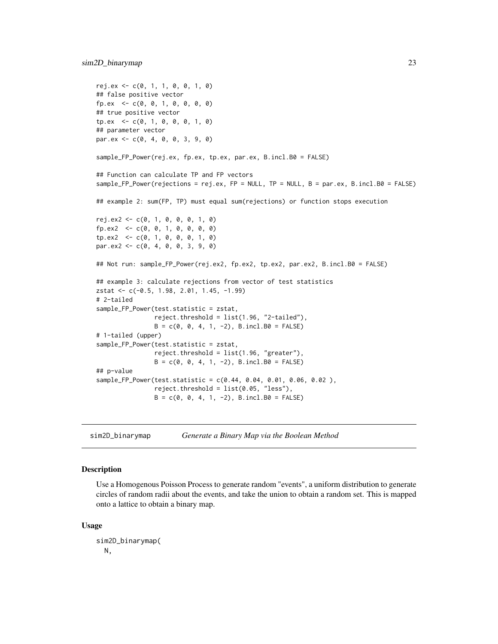```
rej.ex <- c(0, 1, 1, 0, 0, 1, 0)## false positive vector
fp.ex <- c(0, 0, 1, 0, 0, 0, 0)
## true positive vector
tp.ex < -c(0, 1, 0, 0, 0, 1, 0)## parameter vector
par.ex <- c(0, 4, 0, 0, 3, 9, 0)
sample_FP_Power(rej.ex, fp.ex, tp.ex, par.ex, B.incl.B0 = FALSE)
## Function can calculate TP and FP vectors
sample_FP_Power(rejections = rej.ex, FP = NULL, TP = NULL, B = par.ex, B.incl.B0 = FALSE)
## example 2: sum(FP, TP) must equal sum(rejections) or function stops execution
rej.ex2 \leq c(0, 1, 0, 0, 0, 1, 0)fp.ex2 <- c(0, 0, 1, 0, 0, 0, 0)
tp.ex2 <- c(0, 1, 0, 0, 0, 1, 0)
par.ex2 <- c(0, 4, 0, 0, 3, 9, 0)
## Not run: sample_FP_Power(rej.ex2, fp.ex2, tp.ex2, par.ex2, B.incl.B0 = FALSE)
## example 3: calculate rejections from vector of test statistics
zstat <- c(-0.5, 1.98, 2.01, 1.45, -1.99)
# 2-tailed
sample_FP_Power(test.statistic = zstat,
                reject.threshold = list(1.96, "2-tailed"),
                B = c(0, 0, 4, 1, -2), B.incl.B0 = FALSE)
# 1-tailed (upper)
sample_FP_Power(test.statistic = zstat,
               reject.threshold = list(1.96, "greater"),
                B = c(0, 0, 4, 1, -2), B.incl.B0 = FALSE)
## p-value
sample_FP_Power(test.statistic = c(0.44, 0.04, 0.01, 0.06, 0.02 ),
                reject. threshold = list(0.05, "less"),B = c(0, 0, 4, 1, -2), B.incl.B0 = FALSE)
```
sim2D\_binarymap *Generate a Binary Map via the Boolean Method*

# **Description**

Use a Homogenous Poisson Process to generate random "events", a uniform distribution to generate circles of random radii about the events, and take the union to obtain a random set. This is mapped onto a lattice to obtain a binary map.

#### Usage

```
sim2D_binarymap(
 N,
```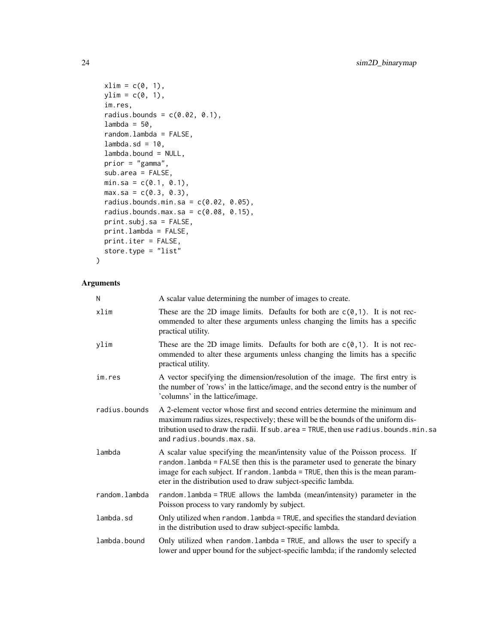```
xlim = c(0, 1),ylim = c(0, 1),im.res,
  radius.bounds = c(0.02, 0.1),
  lambda = 50,
  random.lambda = FALSE,
  lambda.sd = 10,lambda.bound = NULL,
 prior = "gamma",
  sub.area = FALSE,
 min.sa = c(0.1, 0.1),max.sa = c(0.3, 0.3),
 radius.bounds.min.sa = c(0.02, 0.05),
  radius.bounds.max.sa = c(0.08, 0.15),
 print.subj.sa = FALSE,
 print.lambda = FALSE,
 print.iter = FALSE,
 store.type = "list"
\mathcal{L}
```

| Ν             | A scalar value determining the number of images to create.                                                                                                                                                                                                                                                         |
|---------------|--------------------------------------------------------------------------------------------------------------------------------------------------------------------------------------------------------------------------------------------------------------------------------------------------------------------|
| xlim          | These are the 2D image limits. Defaults for both are $c(\theta, 1)$ . It is not rec-<br>ommended to alter these arguments unless changing the limits has a specific<br>practical utility.                                                                                                                          |
| vlim          | These are the 2D image limits. Defaults for both are $c(0,1)$ . It is not rec-<br>ommended to alter these arguments unless changing the limits has a specific<br>practical utility.                                                                                                                                |
| im.res        | A vector specifying the dimension/resolution of the image. The first entry is<br>the number of 'rows' in the lattice/image, and the second entry is the number of<br>'columns' in the lattice/image.                                                                                                               |
| radius.bounds | A 2-element vector whose first and second entries determine the minimum and<br>maximum radius sizes, respectively; these will be the bounds of the uniform dis-<br>tribution used to draw the radii. If sub. area = TRUE, then use radius. bounds.min.sa<br>and radius.bounds.max.sa.                              |
| lambda        | A scalar value specifying the mean/intensity value of the Poisson process. If<br>random. lambda = FALSE then this is the parameter used to generate the binary<br>image for each subject. If random. Lambda = TRUE, then this is the mean param-<br>eter in the distribution used to draw subject-specific lambda. |
| random.lambda | random. lambda = TRUE allows the lambda (mean/intensity) parameter in the<br>Poisson process to vary randomly by subject.                                                                                                                                                                                          |
| lambda.sd     | Only utilized when random. Lambda = TRUE, and specifies the standard deviation<br>in the distribution used to draw subject-specific lambda.                                                                                                                                                                        |
| lambda.bound  | Only utilized when random. Lambda = TRUE, and allows the user to specify a<br>lower and upper bound for the subject-specific lambda; if the randomly selected                                                                                                                                                      |
|               |                                                                                                                                                                                                                                                                                                                    |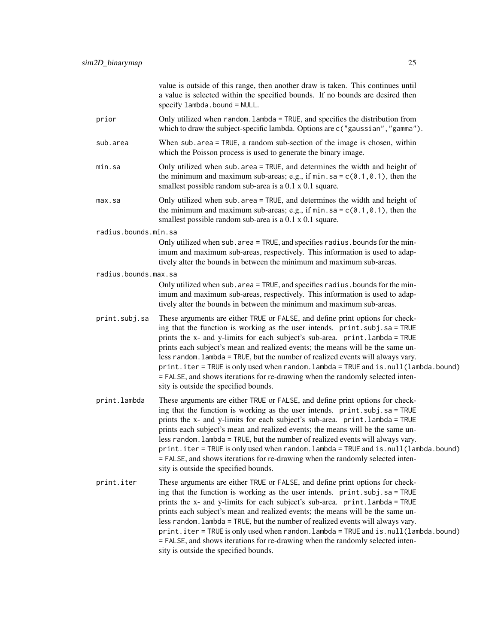value is outside of this range, then another draw is taken. This continues until a value is selected within the specified bounds. If no bounds are desired then specify lambda.bound = NULL.

- prior Only utilized when random.lambda = TRUE, and specifies the distribution from which to draw the subject-specific lambda. Options are  $c''$  gaussian", "gamma").
- sub.area When sub.area = TRUE, a random sub-section of the image is chosen, within which the Poisson process is used to generate the binary image.
- min.sa Only utilized when sub.area = TRUE, and determines the width and height of the minimum and maximum sub-areas; e.g., if  $min$ . sa =  $c(0.1, 0.1)$ , then the smallest possible random sub-area is a 0.1 x 0.1 square.
- max.sa Only utilized when sub.area = TRUE, and determines the width and height of the minimum and maximum sub-areas; e.g., if min.sa =  $c(0.1, 0.1)$ , then the smallest possible random sub-area is a 0.1 x 0.1 square.

radius.bounds.min.sa

Only utilized when sub.area = TRUE, and specifies radius.bounds for the minimum and maximum sub-areas, respectively. This information is used to adaptively alter the bounds in between the minimum and maximum sub-areas.

#### radius.bounds.max.sa

Only utilized when sub.area = TRUE, and specifies radius.bounds for the minimum and maximum sub-areas, respectively. This information is used to adaptively alter the bounds in between the minimum and maximum sub-areas.

- print.subj.sa These arguments are either TRUE or FALSE, and define print options for checking that the function is working as the user intends.  $print.subj.sa = TRUE$ prints the x- and y-limits for each subject's sub-area. print.lambda = TRUE prints each subject's mean and realized events; the means will be the same unless random.lambda = TRUE, but the number of realized events will always vary. print.iter = TRUE is only used when random.lambda = TRUE and is.null(lambda.bound) = FALSE, and shows iterations for re-drawing when the randomly selected intensity is outside the specified bounds.
- print.lambda These arguments are either TRUE or FALSE, and define print options for checking that the function is working as the user intends. print.subj.sa = TRUE prints the x- and y-limits for each subject's sub-area. print.lambda = TRUE prints each subject's mean and realized events; the means will be the same unless random.lambda = TRUE, but the number of realized events will always vary. print.iter = TRUE is only used when random.lambda = TRUE and is.null(lambda.bound) = FALSE, and shows iterations for re-drawing when the randomly selected intensity is outside the specified bounds.
- print.iter These arguments are either TRUE or FALSE, and define print options for checking that the function is working as the user intends. print.subj.sa = TRUE prints the x- and y-limits for each subject's sub-area. print.lambda = TRUE prints each subject's mean and realized events; the means will be the same unless random.lambda = TRUE, but the number of realized events will always vary. print.iter = TRUE is only used when random.lambda = TRUE and is.null(lambda.bound) = FALSE, and shows iterations for re-drawing when the randomly selected intensity is outside the specified bounds.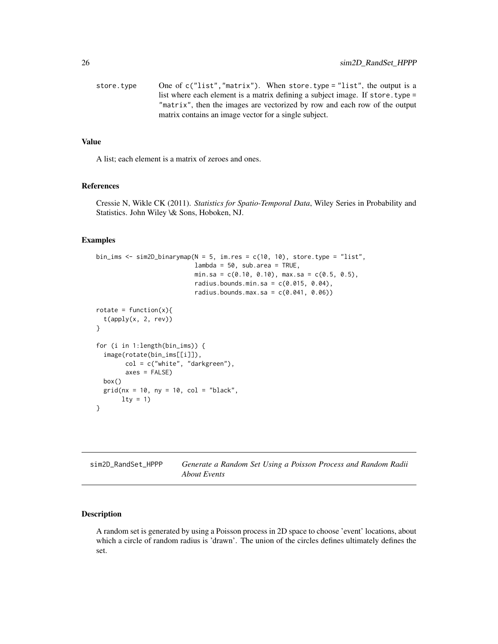```
store.type One of c("list", "matrix"). When store.type = "list", the output is a
                 list where each element is a matrix defining a subject image. If store type =
                  "matrix", then the images are vectorized by row and each row of the output
                 matrix contains an image vector for a single subject.
```
A list; each element is a matrix of zeroes and ones.

#### References

Cressie N, Wikle CK (2011). *Statistics for Spatio-Temporal Data*, Wiley Series in Probability and Statistics. John Wiley \& Sons, Hoboken, NJ.

#### Examples

```
bin_ims <- sim2D_binarymap(N = 5, im.res = c(10, 10), store.type = "list",
                           lambda = 50, sub.area = TRUE,
                           min.sa = c(0.10, 0.10), max.sa = c(0.5, 0.5),
                           radius.bounds.min.sa = c(0.015, 0.04),
                           radius.bounds.max.sa = c(0.041, 0.06)rotate = function(x){
  t(apply(x, 2, rev))
}
for (i in 1:length(bin_ims)) {
  image(rotate(bin_ims[[i]]),
        col = c("white", "darkgreen"),
        axes = FALSE)box()
  grid(nx = 10, ny = 10, col = "black",lty = 1}
```
sim2D\_RandSet\_HPPP *Generate a Random Set Using a Poisson Process and Random Radii About Events*

#### Description

A random set is generated by using a Poisson process in 2D space to choose 'event' locations, about which a circle of random radius is 'drawn'. The union of the circles defines ultimately defines the set.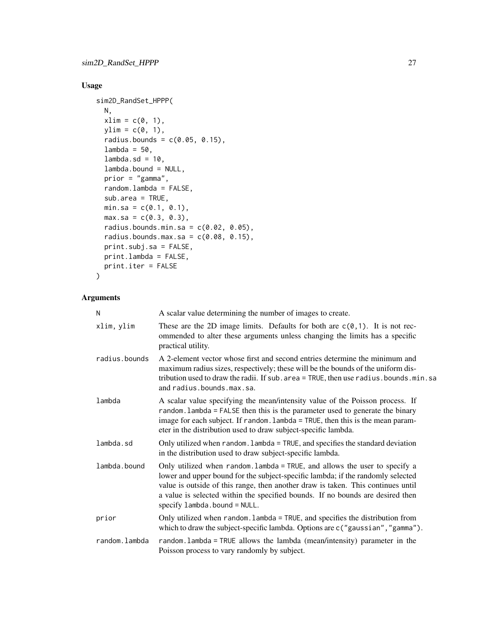# Usage

```
sim2D_RandSet_HPPP(
 N,
 xlim = c(0, 1),ylim = c(0, 1),radius.bounds = c(0.05, 0.15),
  lambda = 50,
 lambda.sd = 10,
  lambda.bound = NULL,
 prior = "gamma",
  random.lambda = FALSE,
  sub.area = TRUE,
 min.sa = c(0.1, 0.1),max.sa = c(0.3, 0.3),radius.bounds.min.sa = c(0.02, 0.05),
  radius.bounds.max.sa = c(0.08, 0.15),
 print.subj.sa = FALSE,
 print.lambda = FALSE,
 print.iter = FALSE
\mathcal{L}
```

| Ν             | A scalar value determining the number of images to create.                                                                                                                                                                                                                                                                                                          |
|---------------|---------------------------------------------------------------------------------------------------------------------------------------------------------------------------------------------------------------------------------------------------------------------------------------------------------------------------------------------------------------------|
| xlim, ylim    | These are the 2D image limits. Defaults for both are $c(\theta, 1)$ . It is not rec-<br>ommended to alter these arguments unless changing the limits has a specific<br>practical utility.                                                                                                                                                                           |
| radius.bounds | A 2-element vector whose first and second entries determine the minimum and<br>maximum radius sizes, respectively; these will be the bounds of the uniform dis-<br>tribution used to draw the radii. If sub. area = TRUE, then use radius. bounds. min. sa<br>and radius.bounds.max.sa.                                                                             |
| lambda        | A scalar value specifying the mean/intensity value of the Poisson process. If<br>random. Lambda = FALSE then this is the parameter used to generate the binary<br>image for each subject. If random. Lambda = TRUE, then this is the mean param-<br>eter in the distribution used to draw subject-specific lambda.                                                  |
| lambda.sd     | Only utilized when random. Lambda = TRUE, and specifies the standard deviation<br>in the distribution used to draw subject-specific lambda.                                                                                                                                                                                                                         |
| lambda.bound  | Only utilized when random. Lambda = TRUE, and allows the user to specify a<br>lower and upper bound for the subject-specific lambda; if the randomly selected<br>value is outside of this range, then another draw is taken. This continues until<br>a value is selected within the specified bounds. If no bounds are desired then<br>specify lambda.bound = NULL. |
| prior         | Only utilized when random. Lambda = TRUE, and specifies the distribution from<br>which to draw the subject-specific lambda. Options are c("gaussian", "gamma").                                                                                                                                                                                                     |
| random.lambda | random.lambda = TRUE allows the lambda (mean/intensity) parameter in the<br>Poisson process to vary randomly by subject.                                                                                                                                                                                                                                            |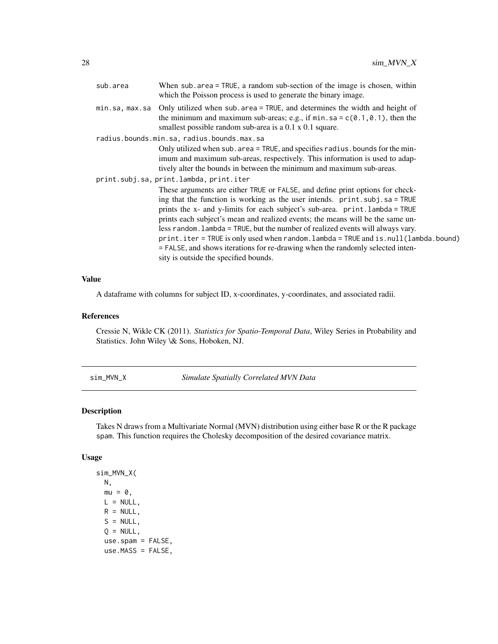<span id="page-27-0"></span>

| sub.area       | When sub. $area = TRUE$ , a random sub-section of the image is chosen, within<br>which the Poisson process is used to generate the binary image.                                                                                                                                                                                                                                                                                                                                                                                                                                                                                         |
|----------------|------------------------------------------------------------------------------------------------------------------------------------------------------------------------------------------------------------------------------------------------------------------------------------------------------------------------------------------------------------------------------------------------------------------------------------------------------------------------------------------------------------------------------------------------------------------------------------------------------------------------------------------|
| min.sa, max.sa | Only utilized when sub. area = TRUE, and determines the width and height of<br>the minimum and maximum sub-areas; e.g., if $min.$ sa = $c(0.1, 0.1)$ , then the<br>smallest possible random sub-area is a 0.1 x 0.1 square.                                                                                                                                                                                                                                                                                                                                                                                                              |
|                | radius.bounds.min.sa, radius.bounds.max.sa                                                                                                                                                                                                                                                                                                                                                                                                                                                                                                                                                                                               |
|                | Only utilized when sub. area = TRUE, and specifies radius. bounds for the min-<br>imum and maximum sub-areas, respectively. This information is used to adap-<br>tively alter the bounds in between the minimum and maximum sub-areas.                                                                                                                                                                                                                                                                                                                                                                                                   |
|                | print.subj.sa, print.lambda, print.iter                                                                                                                                                                                                                                                                                                                                                                                                                                                                                                                                                                                                  |
|                | These arguments are either TRUE or FALSE, and define print options for check-<br>ing that the function is working as the user intends. print.subj.sa = TRUE<br>prints the x- and y-limits for each subject's sub-area. print.lambda = TRUE<br>prints each subject's mean and realized events; the means will be the same un-<br>less random. Lambda = TRUE, but the number of realized events will always vary.<br>$print.$ iter = TRUE is only used when random. lambda = TRUE and is. $null(lambda.$ bound)<br>= FALSE, and shows iterations for re-drawing when the randomly selected inten-<br>sity is outside the specified bounds. |

A dataframe with columns for subject ID, x-coordinates, y-coordinates, and associated radii.

#### References

Cressie N, Wikle CK (2011). *Statistics for Spatio-Temporal Data*, Wiley Series in Probability and Statistics. John Wiley \& Sons, Hoboken, NJ.

sim\_MVN\_X *Simulate Spatially Correlated MVN Data*

# Description

Takes N draws from a Multivariate Normal (MVN) distribution using either base R or the R package spam. This function requires the Cholesky decomposition of the desired covariance matrix.

#### Usage

sim\_MVN\_X( N,  $mu = 0$ ,  $L = NULL$ ,  $R = NULL,$  $S = NULL,$  $Q = NULL,$ use.spam = FALSE, use.MASS = FALSE,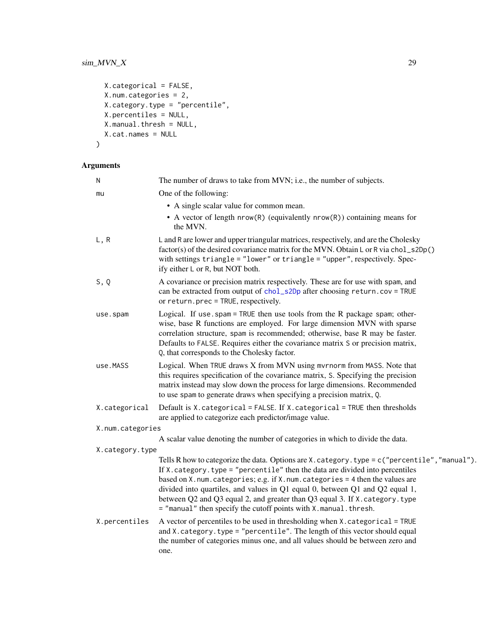```
X.categorical = FALSE,
 X.num.categories = 2,
 X.category.type = "percentile",
 X.percentiles = NULL,
 X.manual.thresh = NULL,
 X.cat.names = NULL
\mathcal{L}
```

| N                | The number of draws to take from MVN; i.e., the number of subjects.                                                                                                                                                                                                                                                                                                                              |  |
|------------------|--------------------------------------------------------------------------------------------------------------------------------------------------------------------------------------------------------------------------------------------------------------------------------------------------------------------------------------------------------------------------------------------------|--|
| mu               | One of the following:                                                                                                                                                                                                                                                                                                                                                                            |  |
|                  | • A single scalar value for common mean.                                                                                                                                                                                                                                                                                                                                                         |  |
|                  | • A vector of length $nrow(R)$ (equivalently $nrow(R)$ ) containing means for<br>the MVN.                                                                                                                                                                                                                                                                                                        |  |
| L, R             | L and R are lower and upper triangular matrices, respectively, and are the Cholesky<br>factor(s) of the desired covariance matrix for the MVN. Obtain L or R via chol_s2Dp()<br>with settings triangle = "lower" or triangle = "upper", respectively. Spec-<br>ify either L or R, but NOT both.                                                                                                  |  |
| S, Q             | A covariance or precision matrix respectively. These are for use with spam, and<br>can be extracted from output of chol_s2Dp after choosing return.cov = TRUE<br>or return.prec = TRUE, respectively.                                                                                                                                                                                            |  |
| use.spam         | Logical. If use spam = TRUE then use tools from the R package spam; other-<br>wise, base R functions are employed. For large dimension MVN with sparse<br>correlation structure, spam is recommended; otherwise, base R may be faster.<br>Defaults to FALSE. Requires either the covariance matrix S or precision matrix,<br>Q, that corresponds to the Cholesky factor.                         |  |
| use.MASS         | Logical. When TRUE draws X from MVN using mvrnorm from MASS. Note that<br>this requires specification of the covariance matrix, S. Specifying the precision<br>matrix instead may slow down the process for large dimensions. Recommended<br>to use spam to generate draws when specifying a precision matrix, Q.                                                                                |  |
| X.categorical    | Default is X. categorical = FALSE. If X. categorical = TRUE then thresholds<br>are applied to categorize each predictor/image value.                                                                                                                                                                                                                                                             |  |
| X.num.categories |                                                                                                                                                                                                                                                                                                                                                                                                  |  |
|                  | A scalar value denoting the number of categories in which to divide the data.                                                                                                                                                                                                                                                                                                                    |  |
| X.category.type  | Tells R how to categorize the data. Options are X. category. type = c("percentile", "manual").                                                                                                                                                                                                                                                                                                   |  |
|                  | If X. category. type = "percentile" then the data are divided into percentiles<br>based on X.num.categories; e.g. if X.num.categories = 4 then the values are<br>divided into quartiles, and values in Q1 equal 0, between Q1 and Q2 equal 1,<br>between Q2 and Q3 equal 2, and greater than Q3 equal 3. If X. category. type<br>= "manual" then specify the cutoff points with X.manual.thresh. |  |
| X.percentiles    | A vector of percentiles to be used in thresholding when X. categorical = TRUE<br>and X. category. type = "percentile". The length of this vector should equal<br>the number of categories minus one, and all values should be between zero and<br>one.                                                                                                                                           |  |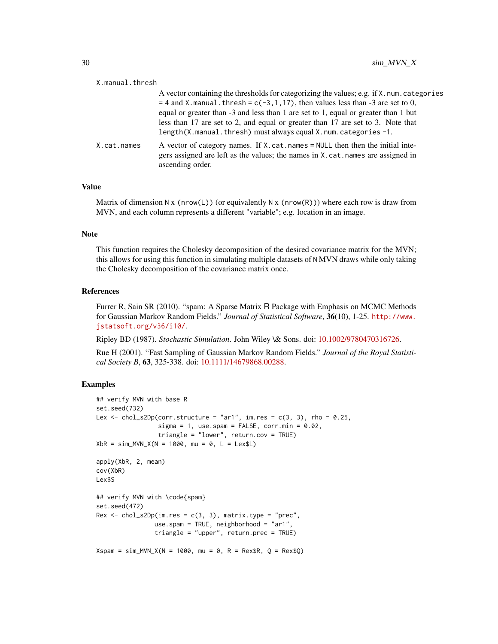| X.manual.thresh |                                                                                                                                                                                                                                                                                                                                                                                                                              |
|-----------------|------------------------------------------------------------------------------------------------------------------------------------------------------------------------------------------------------------------------------------------------------------------------------------------------------------------------------------------------------------------------------------------------------------------------------|
|                 | A vector containing the thresholds for categorizing the values; e.g. if X. num. categories<br>$=$ 4 and X.manual.thresh = $c(-3, 1, 17)$ , then values less than -3 are set to 0,<br>equal or greater than -3 and less than 1 are set to 1, equal or greater than 1 but<br>less than 17 are set to 2, and equal or greater than 17 are set to 3. Note that<br>length(X.manual.thresh) must always equal X.num.categories -1. |
| X.cat.names     | A vector of category names. If X. cat. names = NULL then then the initial inte-<br>gers assigned are left as the values; the names in X.cat.names are assigned in<br>ascending order.                                                                                                                                                                                                                                        |

Matrix of dimension N x (nrow(L)) (or equivalently N x (nrow(R))) where each row is draw from MVN, and each column represents a different "variable"; e.g. location in an image.

#### **Note**

This function requires the Cholesky decomposition of the desired covariance matrix for the MVN; this allows for using this function in simulating multiple datasets of N MVN draws while only taking the Cholesky decomposition of the covariance matrix once.

#### References

Furrer R, Sain SR (2010). "spam: A Sparse Matrix R Package with Emphasis on MCMC Methods for Gaussian Markov Random Fields." *Journal of Statistical Software*, 36(10), 1-25. [http://www.](http://www.jstatsoft.org/v36/i10/) [jstatsoft.org/v36/i10/](http://www.jstatsoft.org/v36/i10/).

Ripley BD (1987). *Stochastic Simulation*. John Wiley \& Sons. doi: [10.1002/9780470316726.](https://doi.org/10.1002/9780470316726)

Rue H (2001). "Fast Sampling of Gaussian Markov Random Fields." *Journal of the Royal Statistical Society B*, 63, 325-338. doi: [10.1111/14679868.00288.](https://doi.org/10.1111/1467-9868.00288)

# Examples

```
## verify MVN with base R
set.seed(732)
Lex \le - chol_s2Dp(corr.structure = "ar1", im.res = c(3, 3), rho = 0.25,
                 sigma = 1, use.spam = FALSE, corr.min = 0.02,
                 triangle = "lower", return.cov = TRUE)
XbR = \text{sim} MVN_X(N = 1000, mu = 0, L = Lex$L)
apply(XbR, 2, mean)
cov(XbR)
Lex$S
## verify MVN with \code{spam}
set.seed(472)
Rex \le - chol_s2Dp(im.res = c(3, 3), matrix.type = "prec",
                use.spam = TRUE, neighborhood = "ar1",
                triangle = "upper", return.prec = TRUE)
Xspam = sim_MVN_X(N = 1000, mu = 0, R = Rex$R, Q = Rex$Q)
```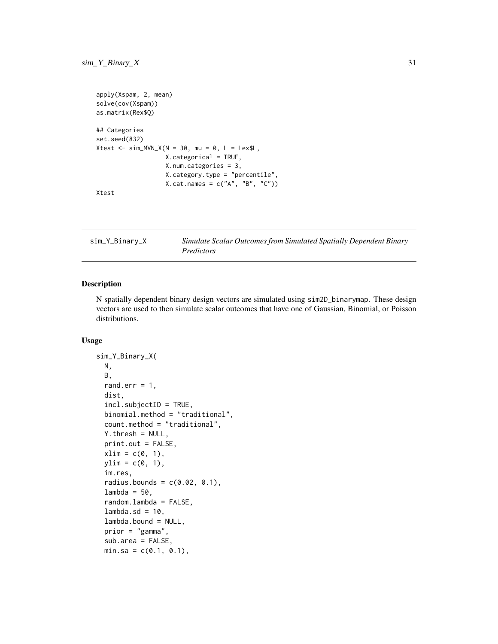```
apply(Xspam, 2, mean)
solve(cov(Xspam))
as.matrix(Rex$Q)
## Categories
set.seed(832)
Xtest \leftarrow sim_MVN_X(N = 30, mu = 0, L = LexSL,X.categorical = TRUE,
                   X.num.categories = 3,
                   X.category.type = "percentile",
                   X.cat.names = c("A", "B", "C")
```
Xtest

sim\_Y\_Binary\_X *Simulate Scalar Outcomes from Simulated Spatially Dependent Binary Predictors*

# Description

N spatially dependent binary design vectors are simulated using sim2D\_binarymap. These design vectors are used to then simulate scalar outcomes that have one of Gaussian, Binomial, or Poisson distributions.

#### Usage

```
sim_Y_Binary_X(
 N,
 B,
  rand.err = 1,
  dist,
  incl.subjectID = TRUE,
 binomial.method = "traditional",
  count.method = "traditional",
  Y.thresh = NULL,
 print.out = FALSE,
 xlim = c(0, 1),ylim = c(0, 1),im.res,
  radius.bounds = c(0.02, 0.1),
  lambda = 50,
  random.lambda = FALSE,
  lambda.sd = 10,
  lambda.bound = NULL,prior = "gamma",
  sub.area = FALSE,
 min.sa = c(0.1, 0.1),
```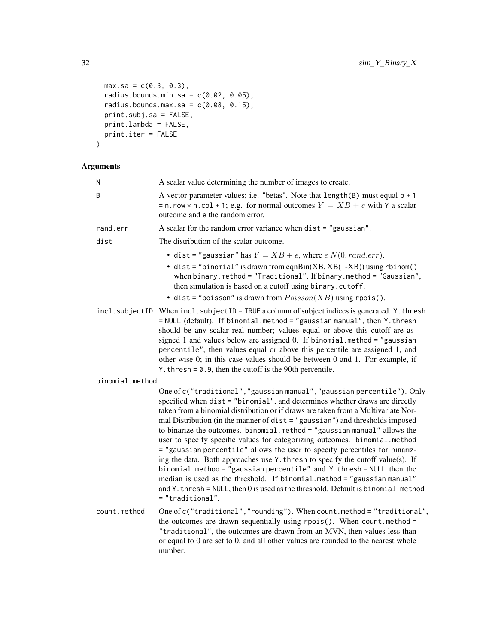```
max.sa = c(0.3, 0.3),
 radius.bounds.min.sa = c(0.02, 0.05),
 radius.bounds.max.sa = c(0.08, 0.15),
 print.subj.sa = FALSE,
 print.lambda = FALSE,
 print.iter = FALSE
\mathcal{L}
```

| N               | A scalar value determining the number of images to create.                                                                                                                                                                                                                                                                                                                                                                                                                                                                                                                                                                                                                                                                                                                                                                                                                                                                |
|-----------------|---------------------------------------------------------------------------------------------------------------------------------------------------------------------------------------------------------------------------------------------------------------------------------------------------------------------------------------------------------------------------------------------------------------------------------------------------------------------------------------------------------------------------------------------------------------------------------------------------------------------------------------------------------------------------------------------------------------------------------------------------------------------------------------------------------------------------------------------------------------------------------------------------------------------------|
| B               | A vector parameter values; i.e. "betas". Note that $length(B)$ must equal $p + 1$<br>= n.row * n.col + 1; e.g. for normal outcomes $Y = XB + e$ with Y a scalar<br>outcome and e the random error.                                                                                                                                                                                                                                                                                                                                                                                                                                                                                                                                                                                                                                                                                                                        |
| rand.err        | A scalar for the random error variance when $dist = "gaussian".$                                                                                                                                                                                                                                                                                                                                                                                                                                                                                                                                                                                                                                                                                                                                                                                                                                                          |
| dist            | The distribution of the scalar outcome.                                                                                                                                                                                                                                                                                                                                                                                                                                                                                                                                                                                                                                                                                                                                                                                                                                                                                   |
|                 | • dist = "gaussian" has $Y = XB + e$ , where $e N(0, rand.err)$ .<br>• dist = "binomial" is drawn from eqnBin(XB, XB(1-XB)) using rbinom()<br>when binary.method = "Traditional". If binary.method = "Gaussian",<br>then simulation is based on a cutoff using binary.cutoff.<br>• dist = "poisson" is drawn from $Poisson(XB)$ using rpois().                                                                                                                                                                                                                                                                                                                                                                                                                                                                                                                                                                            |
|                 | incl.subjectID When incl.subjectID = TRUE a column of subject indices is generated. Y.thresh<br>= NULL (default). If binomial.method = "gaussian manual", then Y. thresh<br>should be any scalar real number; values equal or above this cutoff are as-<br>signed 1 and values below are assigned 0. If binomial.method = "gaussian<br>percentile", then values equal or above this percentile are assigned 1, and<br>other wise 0; in this case values should be between 0 and 1. For example, if<br>Y. thresh = $0.9$ , then the cutoff is the 90th percentile.                                                                                                                                                                                                                                                                                                                                                         |
| binomial.method |                                                                                                                                                                                                                                                                                                                                                                                                                                                                                                                                                                                                                                                                                                                                                                                                                                                                                                                           |
|                 | One of c("traditional","gaussian manual","gaussian percentile"). Only<br>specified when dist = "binomial", and determines whether draws are directly<br>taken from a binomial distribution or if draws are taken from a Multivariate Nor-<br>mal Distribution (in the manner of $dist = "gaussian")$ and thresholds imposed<br>to binarize the outcomes. binomial.method = "gaussian manual" allows the<br>user to specify specific values for categorizing outcomes. binomial.method<br>= "gaussian percentile" allows the user to specify percentiles for binariz-<br>ing the data. Both approaches use Y. thresh to specify the cutoff value(s). If<br>binomial.method = "gaussian percentile" and Y. thresh = NULL then the<br>median is used as the threshold. If binomial.method = "gaussian manual"<br>and Y. thresh = $NULL$ , then 0 is used as the threshold. Default is binomial. method<br>$=$ "traditional". |
| count.method    | One of c("traditional","rounding"). When count.method = "traditional",<br>the outcomes are drawn sequentially using rpois(). When count.method =<br>"traditional", the outcomes are drawn from an MVN, then values less than<br>or equal to 0 are set to 0, and all other values are rounded to the nearest whole<br>number.                                                                                                                                                                                                                                                                                                                                                                                                                                                                                                                                                                                              |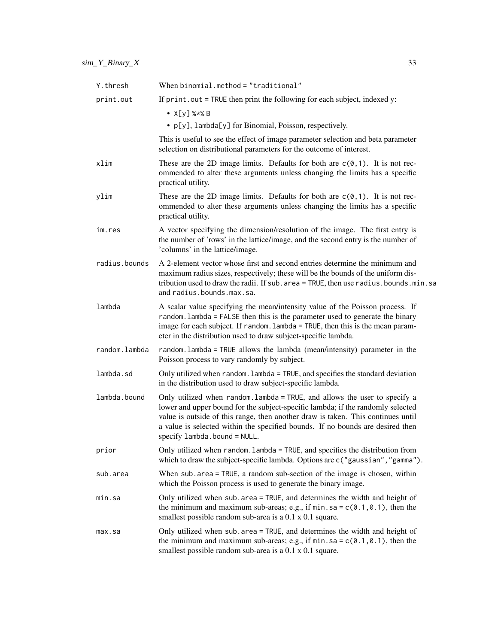| Y.thresh      | When binomial.method = "traditional"                                                                                                                                                                                                                                                                                                                                |
|---------------|---------------------------------------------------------------------------------------------------------------------------------------------------------------------------------------------------------------------------------------------------------------------------------------------------------------------------------------------------------------------|
| print.out     | If print . out = TRUE then print the following for each subject, indexed y:                                                                                                                                                                                                                                                                                         |
|               | • $X[y]$ % $*$ $8$ B                                                                                                                                                                                                                                                                                                                                                |
|               | • p[y], lambda[y] for Binomial, Poisson, respectively.                                                                                                                                                                                                                                                                                                              |
|               | This is useful to see the effect of image parameter selection and beta parameter<br>selection on distributional parameters for the outcome of interest.                                                                                                                                                                                                             |
| xlim          | These are the 2D image limits. Defaults for both are $c(\theta, 1)$ . It is not rec-<br>ommended to alter these arguments unless changing the limits has a specific<br>practical utility.                                                                                                                                                                           |
| ylim          | These are the 2D image limits. Defaults for both are $c(\theta, 1)$ . It is not rec-<br>ommended to alter these arguments unless changing the limits has a specific<br>practical utility.                                                                                                                                                                           |
| im.res        | A vector specifying the dimension/resolution of the image. The first entry is<br>the number of 'rows' in the lattice/image, and the second entry is the number of<br>'columns' in the lattice/image.                                                                                                                                                                |
| radius.bounds | A 2-element vector whose first and second entries determine the minimum and<br>maximum radius sizes, respectively; these will be the bounds of the uniform dis-<br>tribution used to draw the radii. If sub. area = TRUE, then use radius. bounds.min.sa<br>and radius.bounds.max.sa.                                                                               |
| lambda        | A scalar value specifying the mean/intensity value of the Poisson process. If<br>random. lambda = FALSE then this is the parameter used to generate the binary<br>image for each subject. If random. Lambda = TRUE, then this is the mean param-<br>eter in the distribution used to draw subject-specific lambda.                                                  |
| random.lambda | random.lambda = TRUE allows the lambda (mean/intensity) parameter in the<br>Poisson process to vary randomly by subject.                                                                                                                                                                                                                                            |
| lambda.sd     | Only utilized when random. Lambda = TRUE, and specifies the standard deviation<br>in the distribution used to draw subject-specific lambda.                                                                                                                                                                                                                         |
| lambda.bound  | Only utilized when random. Lambda = TRUE, and allows the user to specify a<br>lower and upper bound for the subject-specific lambda; if the randomly selected<br>value is outside of this range, then another draw is taken. This continues until<br>a value is selected within the specified bounds. If no bounds are desired then<br>specify lambda.bound = NULL. |
| prior         | Only utilized when random. Lambda = TRUE, and specifies the distribution from<br>which to draw the subject-specific lambda. Options are c("gaussian", "gamma").                                                                                                                                                                                                     |
| sub.area      | When sub $a$ area = TRUE, a random sub-section of the image is chosen, within<br>which the Poisson process is used to generate the binary image.                                                                                                                                                                                                                    |
| min.sa        | Only utilized when sub. area = TRUE, and determines the width and height of<br>the minimum and maximum sub-areas; e.g., if $min.$ sa = $c(0.1, 0.1)$ , then the<br>smallest possible random sub-area is a 0.1 x 0.1 square.                                                                                                                                         |
| max.sa        | Only utilized when sub. area = TRUE, and determines the width and height of<br>the minimum and maximum sub-areas; e.g., if $min$ . sa = $c(0.1, 0.1)$ , then the<br>smallest possible random sub-area is a 0.1 x 0.1 square.                                                                                                                                        |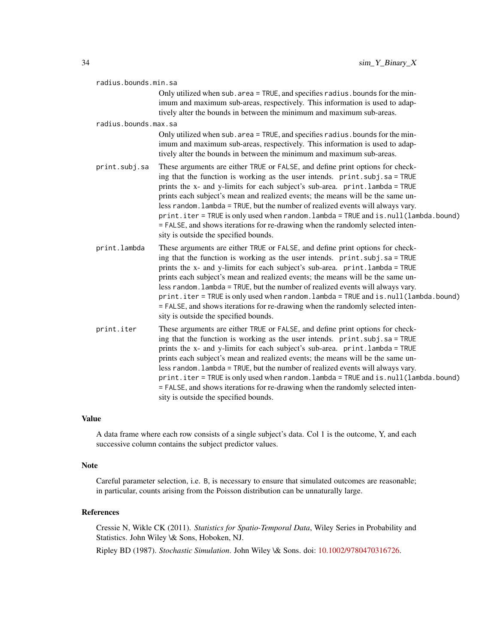| radius.bounds.min.sa |                                                                                                                                                                                                                                                                                                                                                                                                                                                                                                                                                                                                                                  |  |
|----------------------|----------------------------------------------------------------------------------------------------------------------------------------------------------------------------------------------------------------------------------------------------------------------------------------------------------------------------------------------------------------------------------------------------------------------------------------------------------------------------------------------------------------------------------------------------------------------------------------------------------------------------------|--|
|                      | Only utilized when sub. area = TRUE, and specifies radius. bounds for the min-<br>imum and maximum sub-areas, respectively. This information is used to adap-<br>tively alter the bounds in between the minimum and maximum sub-areas.                                                                                                                                                                                                                                                                                                                                                                                           |  |
| radius.bounds.max.sa |                                                                                                                                                                                                                                                                                                                                                                                                                                                                                                                                                                                                                                  |  |
|                      | Only utilized when sub. area = TRUE, and specifies radius. bounds for the min-<br>imum and maximum sub-areas, respectively. This information is used to adap-<br>tively alter the bounds in between the minimum and maximum sub-areas.                                                                                                                                                                                                                                                                                                                                                                                           |  |
| print.subj.sa        | These arguments are either TRUE or FALSE, and define print options for check-<br>ing that the function is working as the user intends. print.subj.sa = TRUE<br>prints the x- and y-limits for each subject's sub-area. print.lambda = TRUE<br>prints each subject's mean and realized events; the means will be the same un-<br>less random. Lambda = TRUE, but the number of realized events will always vary.<br>print.iter = TRUE is only used when random.lambda = TRUE and is.null(lambda.bound)<br>= FALSE, and shows iterations for re-drawing when the randomly selected inten-<br>sity is outside the specified bounds. |  |
| print.lambda         | These arguments are either TRUE or FALSE, and define print options for check-<br>ing that the function is working as the user intends. print.subj.sa = TRUE<br>prints the x- and y-limits for each subject's sub-area. print.lambda = TRUE<br>prints each subject's mean and realized events; the means will be the same un-<br>less random. Lambda = TRUE, but the number of realized events will always vary.<br>print.iter = TRUE is only used when random.lambda = TRUE and is.null(lambda.bound)<br>= FALSE, and shows iterations for re-drawing when the randomly selected inten-<br>sity is outside the specified bounds. |  |
| print.iter           | These arguments are either TRUE or FALSE, and define print options for check-<br>ing that the function is working as the user intends. print.subj.sa = TRUE<br>prints the x- and y-limits for each subject's sub-area. print.lambda = TRUE<br>prints each subject's mean and realized events; the means will be the same un-<br>less random. Lambda = TRUE, but the number of realized events will always vary.<br>print.iter = TRUE is only used when random.lambda = TRUE and is.null(lambda.bound)<br>= FALSE, and shows iterations for re-drawing when the randomly selected inten-<br>sity is outside the specified bounds. |  |

A data frame where each row consists of a single subject's data. Col 1 is the outcome, Y, and each successive column contains the subject predictor values.

### Note

Careful parameter selection, i.e. B, is necessary to ensure that simulated outcomes are reasonable; in particular, counts arising from the Poisson distribution can be unnaturally large.

#### References

Cressie N, Wikle CK (2011). *Statistics for Spatio-Temporal Data*, Wiley Series in Probability and Statistics. John Wiley \& Sons, Hoboken, NJ.

Ripley BD (1987). *Stochastic Simulation*. John Wiley \& Sons. doi: [10.1002/9780470316726.](https://doi.org/10.1002/9780470316726)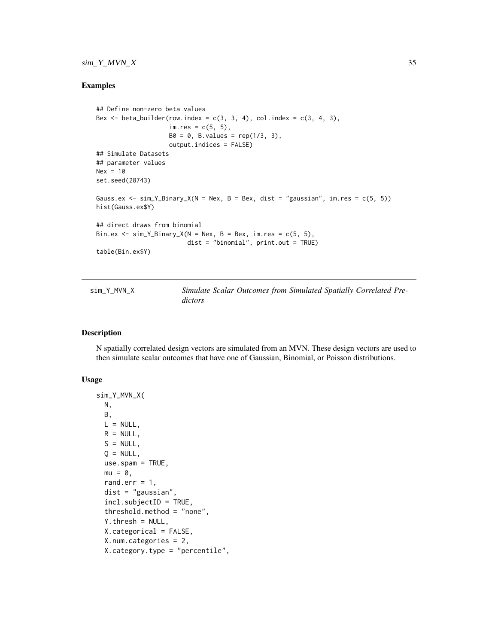# <span id="page-34-0"></span> $sim_Y_MVN_X$  35

#### Examples

```
## Define non-zero beta values
Bex \le beta_builder(row.index = c(3, 3, 4), col.index = c(3, 4, 3),
                    im.res = c(5, 5),
                    B0 = 0, B.values = rep(1/3, 3),
                    output.indices = FALSE)
## Simulate Datasets
## parameter values
Next = 10set.seed(28743)
Gauss.ex \le sim_Y_Binary_X(N = Nex, B = Bex, dist = "gaussian", im.res = c(5, 5))
hist(Gauss.ex$Y)
## direct draws from binomial
Bin.ex \leq sim_Y_Binary_X(N = Nex, B = Bex, im.res = c(5, 5),
                         dist = "binomial", print.out = TRUE)
table(Bin.ex$Y)
```
sim\_Y\_MVN\_X *Simulate Scalar Outcomes from Simulated Spatially Correlated Predictors*

#### Description

N spatially correlated design vectors are simulated from an MVN. These design vectors are used to then simulate scalar outcomes that have one of Gaussian, Binomial, or Poisson distributions.

#### Usage

```
sim_Y_MVN_X(
 N,
 B,
 L = NULL,R = NULL,S = NULL,Q = NULL,use.spam = TRUE,
 mu = 0,
  rand.err = 1,
  dist = "gaussian",
  incl.subjectID = TRUE,
  threshold.method = "none",
  Y. thresh = NULL,
  X.categorical = FALSE,
  X.num.categories = 2,
 X.category.type = "percentile",
```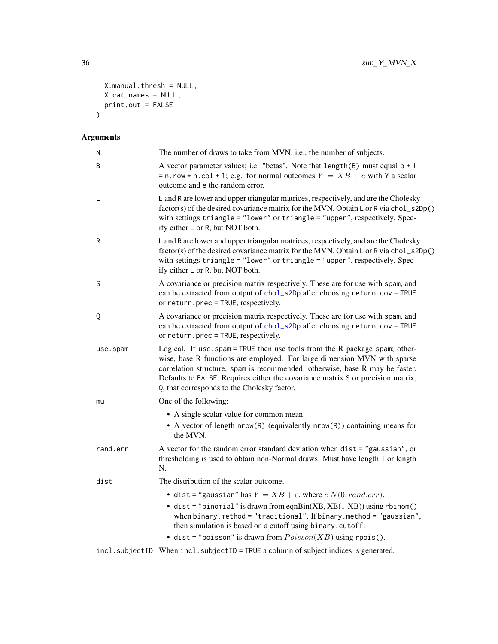```
X.manual.thresh = NULL,
  X.cat.names = NULL,
  print.out = FALSE
\mathcal{L}
```

| N        | The number of draws to take from MVN; i.e., the number of subjects.                                                                                                                                                                                                                                                                                                      |
|----------|--------------------------------------------------------------------------------------------------------------------------------------------------------------------------------------------------------------------------------------------------------------------------------------------------------------------------------------------------------------------------|
| B        | A vector parameter values; i.e. "betas". Note that $length(B)$ must equal $p + 1$<br>= n.row * n.col + 1; e.g. for normal outcomes $Y = XB + e$ with Y a scalar<br>outcome and e the random error.                                                                                                                                                                       |
| L        | L and R are lower and upper triangular matrices, respectively, and are the Cholesky<br>factor(s) of the desired covariance matrix for the MVN. Obtain L or R via chol_s2Dp()<br>with settings triangle = "lower" or triangle = "upper", respectively. Spec-<br>ify either L or R, but NOT both.                                                                          |
| R        | L and R are lower and upper triangular matrices, respectively, and are the Cholesky<br>factor(s) of the desired covariance matrix for the MVN. Obtain L or R via chol_s2Dp()<br>with settings triangle = "lower" or triangle = "upper", respectively. Spec-<br>ify either L or R, but NOT both.                                                                          |
| S        | A covariance or precision matrix respectively. These are for use with spam, and<br>can be extracted from output of chol_s2Dp after choosing return.cov = TRUE<br>or return.prec = TRUE, respectively.                                                                                                                                                                    |
| Q        | A covariance or precision matrix respectively. These are for use with spam, and<br>can be extracted from output of chol_s2Dp after choosing return.cov = TRUE<br>or return.prec = TRUE, respectively.                                                                                                                                                                    |
| use.spam | Logical. If use spam = TRUE then use tools from the R package spam; other-<br>wise, base R functions are employed. For large dimension MVN with sparse<br>correlation structure, spam is recommended; otherwise, base R may be faster.<br>Defaults to FALSE. Requires either the covariance matrix S or precision matrix,<br>Q, that corresponds to the Cholesky factor. |
| mu       | One of the following:                                                                                                                                                                                                                                                                                                                                                    |
|          | • A single scalar value for common mean.<br>• A vector of length $nrow(R)$ (equivalently $nrow(R)$ ) containing means for<br>the MVN.                                                                                                                                                                                                                                    |
| rand.err | A vector for the random error standard deviation when $dist = "gaussian",$ or<br>thresholding is used to obtain non-Normal draws. Must have length 1 or length<br>N.                                                                                                                                                                                                     |
| dist     | The distribution of the scalar outcome.                                                                                                                                                                                                                                                                                                                                  |
|          | • dist = "gaussian" has $Y = XB + e$ , where $e N(0, rand.err)$ .<br>• dist = "binomial" is drawn from eqnBin( $XB$ , $XB(1-XB)$ ) using rbinom()<br>when binary.method = "traditional". If binary.method = "gaussian",<br>then simulation is based on a cutoff using binary.cutoff.<br>• dist = "poisson" is drawn from $Poisson(XB)$ using rpois().                    |
|          |                                                                                                                                                                                                                                                                                                                                                                          |

incl.subjectID When incl.subjectID = TRUE a column of subject indices is generated.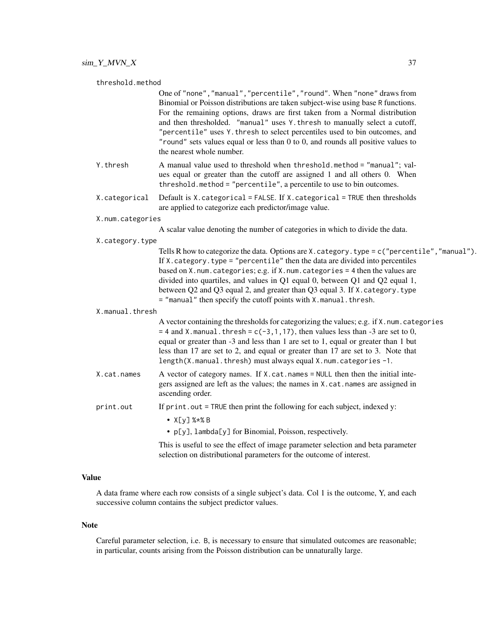threshold.method

One of "none","manual","percentile","round". When "none" draws from Binomial or Poisson distributions are taken subject-wise using base R functions. For the remaining options, draws are first taken from a Normal distribution and then thresholded. "manual" uses Y.thresh to manually select a cutoff, "percentile" uses Y.thresh to select percentiles used to bin outcomes, and "round" sets values equal or less than 0 to 0, and rounds all positive values to the nearest whole number.

- Y.thresh A manual value used to threshold when threshold.method = "manual"; values equal or greater than the cutoff are assigned 1 and all others 0. When threshold.method = "percentile", a percentile to use to bin outcomes.
- X.categorical Default is X.categorical = FALSE. If X.categorical = TRUE then thresholds are applied to categorize each predictor/image value.

#### X.num.categories

A scalar value denoting the number of categories in which to divide the data.

#### X.category.type

Tells R how to categorize the data. Options are X.category.type = c("percentile","manual"). If  $X$ . category. type = "percentile" then the data are divided into percentiles based on X.num.categories; e.g. if X.num.categories = 4 then the values are divided into quartiles, and values in Q1 equal 0, between Q1 and Q2 equal 1, between Q2 and Q3 equal 2, and greater than Q3 equal 3. If X.category.type = "manual" then specify the cutoff points with X.manual.thresh.

#### X.manual.thresh

A vector containing the thresholds for categorizing the values; e.g. if X.num.categories  $= 4$  and X.manual.thresh = c(-3,1,17), then values less than -3 are set to 0, equal or greater than -3 and less than 1 are set to 1, equal or greater than 1 but less than 17 are set to 2, and equal or greater than 17 are set to 3. Note that length(X.manual.thresh) must always equal X.num.categories -1.

X.cat.names A vector of category names. If X.cat.names = NULL then then the initial integers assigned are left as the values; the names in X.cat.names are assigned in ascending order.

print.out If print.out = TRUE then print the following for each subject, indexed y:

- X[y] %\*% B
- p[y], lambda[y] for Binomial, Poisson, respectively.

This is useful to see the effect of image parameter selection and beta parameter selection on distributional parameters for the outcome of interest.

#### Value

A data frame where each row consists of a single subject's data. Col 1 is the outcome, Y, and each successive column contains the subject predictor values.

#### Note

Careful parameter selection, i.e. B, is necessary to ensure that simulated outcomes are reasonable; in particular, counts arising from the Poisson distribution can be unnaturally large.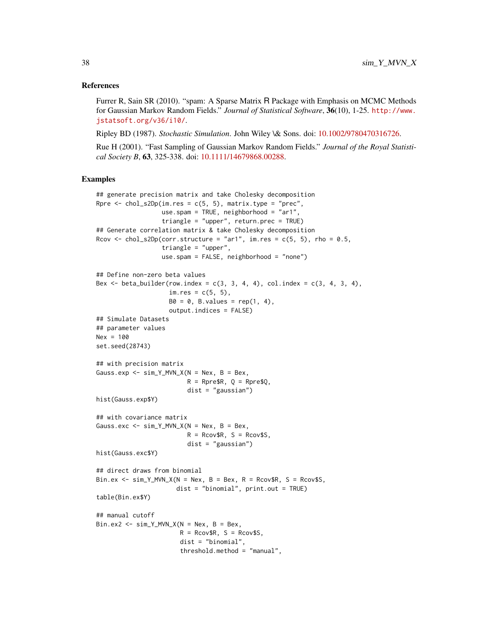#### References

Furrer R, Sain SR (2010). "spam: A Sparse Matrix R Package with Emphasis on MCMC Methods for Gaussian Markov Random Fields." *Journal of Statistical Software*, 36(10), 1-25. [http://www.](http://www.jstatsoft.org/v36/i10/) [jstatsoft.org/v36/i10/](http://www.jstatsoft.org/v36/i10/).

Ripley BD (1987). *Stochastic Simulation*. John Wiley \& Sons. doi: [10.1002/9780470316726.](https://doi.org/10.1002/9780470316726)

Rue H (2001). "Fast Sampling of Gaussian Markov Random Fields." *Journal of the Royal Statistical Society B*, 63, 325-338. doi: [10.1111/14679868.00288.](https://doi.org/10.1111/1467-9868.00288)

# Examples

```
## generate precision matrix and take Cholesky decomposition
Rpre \le chol_s2Dp(im.res = c(5, 5), matrix.type = "prec",
                  use.spam = TRUE, neighborhood = "ar1",
                  triangle = "upper", return.prec = TRUE)
## Generate correlation matrix & take Cholesky decomposition
Rcov \le chol_s2Dp(corr.structure = "ar1", im.res = c(5, 5), rho = 0.5,
                  triangle = "upper",
                  use.spam = FALSE, neighborhood = "none")
## Define non-zero beta values
Bex \leq beta_builder(row.index = c(3, 3, 4, 4), col.index = c(3, 4, 3, 4),
                    im.res = c(5, 5),
                    B0 = 0, B.values = rep(1, 4),
                    output.indices = FALSE)
## Simulate Datasets
## parameter values
Nex = 100set.seed(28743)
## with precision matrix
Gauss.exp \le sim_Y_MVN_X(N = Nex, B = Bex,
                         R = Rpre$R, Q = Rpre$0,
                         dist = "gaussian")
hist(Gauss.exp$Y)
## with covariance matrix
Gauss.exc \le sim_Y_MVN_X(N = Nex, B = Bex,
                         R = Rcov$R, S = Rcov$S,dist = "gaussian")
hist(Gauss.exc$Y)
## direct draws from binomial
Bin.ex \leq sim_Y_MVN_X(N = Nex, B = Bex, R = Rcov$R, S = Rcov$S,
                      dist = "binomial", print.out = TRUE)table(Bin.ex$Y)
## manual cutoff
Bin.ex2 \le sim_Y_MVN_X(N = Nex, B = Bex,
                       R = Rcov$R, S = Rcov$S,dist = "binomial",
                       threshold.method = "manual",
```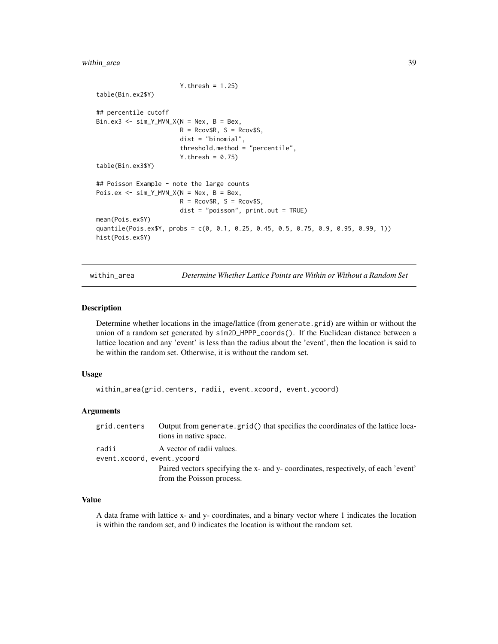# <span id="page-38-0"></span>within\_area 39

```
Y.thresh = 1.25)
table(Bin.ex2$Y)
## percentile cutoff
Bin.ex3 \le sim_Y_MVN_X(N = Nex, B = Bex,
                       R = Rcov$R, S = Rcov$S,dist = "binomial",
                       threshold.method = "percentile",
                       Y.thresh = 0.75)
table(Bin.ex3$Y)
## Poisson Example - note the large counts
Pois.ex \le sim_Y_MVN_X(N = Nex, B = Bex,
                       R = Rcov$R, S = Rcov$S,dist = "poisson", print.out = TRUE)
mean(Pois.ex$Y)
quantile(Pois.ex$Y, probs = c(0, 0.1, 0.25, 0.45, 0.5, 0.75, 0.9, 0.95, 0.99, 1))
hist(Pois.ex$Y)
```
within\_area *Determine Whether Lattice Points are Within or Without a Random Set*

#### Description

Determine whether locations in the image/lattice (from generate.grid) are within or without the union of a random set generated by sim2D\_HPPP\_coords(). If the Euclidean distance between a lattice location and any 'event' is less than the radius about the 'event', then the location is said to be within the random set. Otherwise, it is without the random set.

#### Usage

```
within_area(grid.centers, radii, event.xcoord, event.ycoord)
```
# Arguments

| grid.centers               | Output from generate.grid() that specifies the coordinates of the lattice loca-<br>tions in native space. |
|----------------------------|-----------------------------------------------------------------------------------------------------------|
| radii                      | A vector of radii values.                                                                                 |
| event.xcoord, event.ycoord |                                                                                                           |
|                            | Paired vectors specifying the x- and y- coordinates, respectively, of each 'event'                        |
|                            | from the Poisson process.                                                                                 |

#### Value

A data frame with lattice x- and y- coordinates, and a binary vector where 1 indicates the location is within the random set, and 0 indicates the location is without the random set.